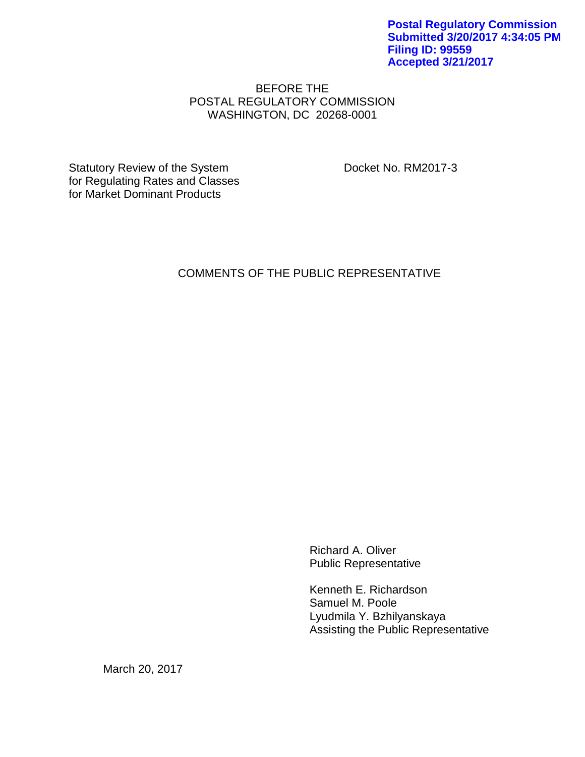**Postal Regulatory Commission Submitted 3/20/2017 4:34:05 PM Filing ID: 99559 Accepted 3/21/2017**

### BEFORE THE POSTAL REGULATORY COMMISSION WASHINGTON, DC 20268-0001

Statutory Review of the System Docket No. RM2017-3 for Regulating Rates and Classes for Market Dominant Products

# COMMENTS OF THE PUBLIC REPRESENTATIVE

Richard A. Oliver Public Representative

Kenneth E. Richardson Samuel M. Poole Lyudmila Y. Bzhilyanskaya Assisting the Public Representative

March 20, 2017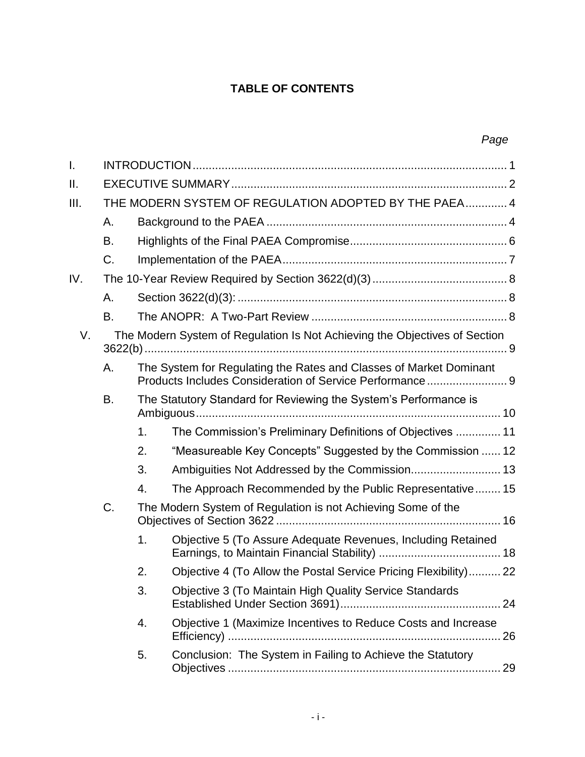# **TABLE OF CONTENTS**

| I.   |                                                       |                                                                  |                                                                                                                                |    |  |  |
|------|-------------------------------------------------------|------------------------------------------------------------------|--------------------------------------------------------------------------------------------------------------------------------|----|--|--|
| II.  |                                                       |                                                                  |                                                                                                                                |    |  |  |
| III. | THE MODERN SYSTEM OF REGULATION ADOPTED BY THE PAEA 4 |                                                                  |                                                                                                                                |    |  |  |
|      | Α.                                                    |                                                                  |                                                                                                                                |    |  |  |
|      | В.                                                    |                                                                  |                                                                                                                                |    |  |  |
|      | C.                                                    |                                                                  |                                                                                                                                |    |  |  |
| IV.  |                                                       |                                                                  |                                                                                                                                |    |  |  |
|      | Α.                                                    |                                                                  |                                                                                                                                |    |  |  |
|      | В.                                                    |                                                                  |                                                                                                                                |    |  |  |
| V.   |                                                       |                                                                  | The Modern System of Regulation Is Not Achieving the Objectives of Section                                                     |    |  |  |
|      | Α.                                                    |                                                                  | The System for Regulating the Rates and Classes of Market Dominant<br>Products Includes Consideration of Service Performance 9 |    |  |  |
|      | В.                                                    | The Statutory Standard for Reviewing the System's Performance is |                                                                                                                                |    |  |  |
|      |                                                       | 1.                                                               | The Commission's Preliminary Definitions of Objectives  11                                                                     |    |  |  |
|      |                                                       | 2.                                                               | "Measureable Key Concepts" Suggested by the Commission  12                                                                     |    |  |  |
|      |                                                       | 3.                                                               | Ambiguities Not Addressed by the Commission 13                                                                                 |    |  |  |
|      |                                                       | 4.                                                               | The Approach Recommended by the Public Representative 15                                                                       |    |  |  |
|      | C.                                                    |                                                                  | The Modern System of Regulation is not Achieving Some of the                                                                   |    |  |  |
|      |                                                       | 1.                                                               | Objective 5 (To Assure Adequate Revenues, Including Retained                                                                   |    |  |  |
|      |                                                       | 2.                                                               | Objective 4 (To Allow the Postal Service Pricing Flexibility) 22                                                               |    |  |  |
|      |                                                       | 3.                                                               | Objective 3 (To Maintain High Quality Service Standards                                                                        |    |  |  |
|      |                                                       | 4.                                                               | Objective 1 (Maximize Incentives to Reduce Costs and Increase                                                                  | 26 |  |  |
|      |                                                       | 5.                                                               | Conclusion: The System in Failing to Achieve the Statutory                                                                     |    |  |  |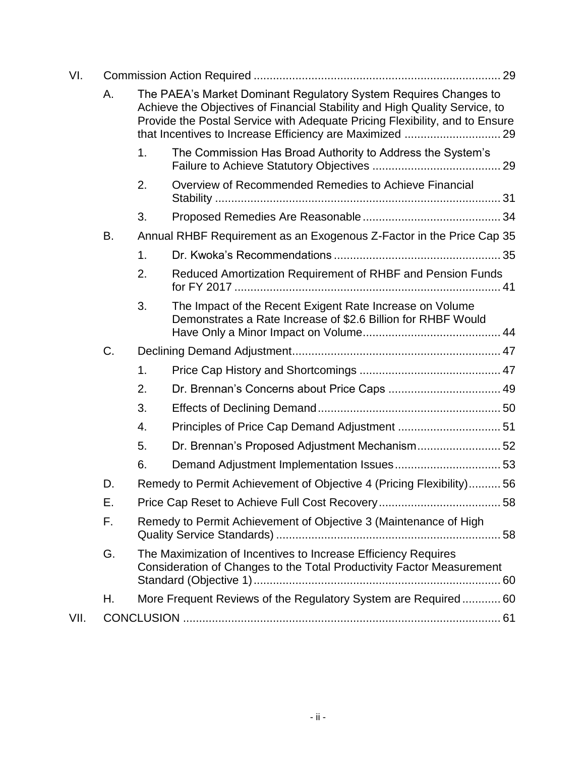| VI.  |    |                                                                                                                                                                                                                               |                                                                                                                          |  |  |  |
|------|----|-------------------------------------------------------------------------------------------------------------------------------------------------------------------------------------------------------------------------------|--------------------------------------------------------------------------------------------------------------------------|--|--|--|
|      | А. | The PAEA's Market Dominant Regulatory System Requires Changes to<br>Achieve the Objectives of Financial Stability and High Quality Service, to<br>Provide the Postal Service with Adequate Pricing Flexibility, and to Ensure |                                                                                                                          |  |  |  |
|      |    | 1.                                                                                                                                                                                                                            | The Commission Has Broad Authority to Address the System's                                                               |  |  |  |
|      |    | 2.                                                                                                                                                                                                                            | Overview of Recommended Remedies to Achieve Financial                                                                    |  |  |  |
|      |    | 3.                                                                                                                                                                                                                            |                                                                                                                          |  |  |  |
|      | В. | Annual RHBF Requirement as an Exogenous Z-Factor in the Price Cap 35                                                                                                                                                          |                                                                                                                          |  |  |  |
|      |    | 1.                                                                                                                                                                                                                            |                                                                                                                          |  |  |  |
|      |    | 2.                                                                                                                                                                                                                            | Reduced Amortization Requirement of RHBF and Pension Funds                                                               |  |  |  |
|      |    | 3.                                                                                                                                                                                                                            | The Impact of the Recent Exigent Rate Increase on Volume<br>Demonstrates a Rate Increase of \$2.6 Billion for RHBF Would |  |  |  |
|      | C. |                                                                                                                                                                                                                               |                                                                                                                          |  |  |  |
|      |    | 1.                                                                                                                                                                                                                            |                                                                                                                          |  |  |  |
|      |    | 2.                                                                                                                                                                                                                            | Dr. Brennan's Concerns about Price Caps  49                                                                              |  |  |  |
|      |    | 3.                                                                                                                                                                                                                            |                                                                                                                          |  |  |  |
|      |    | 4.                                                                                                                                                                                                                            | Principles of Price Cap Demand Adjustment  51                                                                            |  |  |  |
|      |    | 5.                                                                                                                                                                                                                            | Dr. Brennan's Proposed Adjustment Mechanism 52                                                                           |  |  |  |
|      |    | 6.                                                                                                                                                                                                                            |                                                                                                                          |  |  |  |
|      | D. |                                                                                                                                                                                                                               | Remedy to Permit Achievement of Objective 4 (Pricing Flexibility)56                                                      |  |  |  |
|      | Ε. |                                                                                                                                                                                                                               |                                                                                                                          |  |  |  |
|      | F. | Remedy to Permit Achievement of Objective 3 (Maintenance of High                                                                                                                                                              |                                                                                                                          |  |  |  |
|      | G. | The Maximization of Incentives to Increase Efficiency Requires<br>Consideration of Changes to the Total Productivity Factor Measurement                                                                                       |                                                                                                                          |  |  |  |
|      | Н. | More Frequent Reviews of the Regulatory System are Required 60                                                                                                                                                                |                                                                                                                          |  |  |  |
| VII. |    |                                                                                                                                                                                                                               |                                                                                                                          |  |  |  |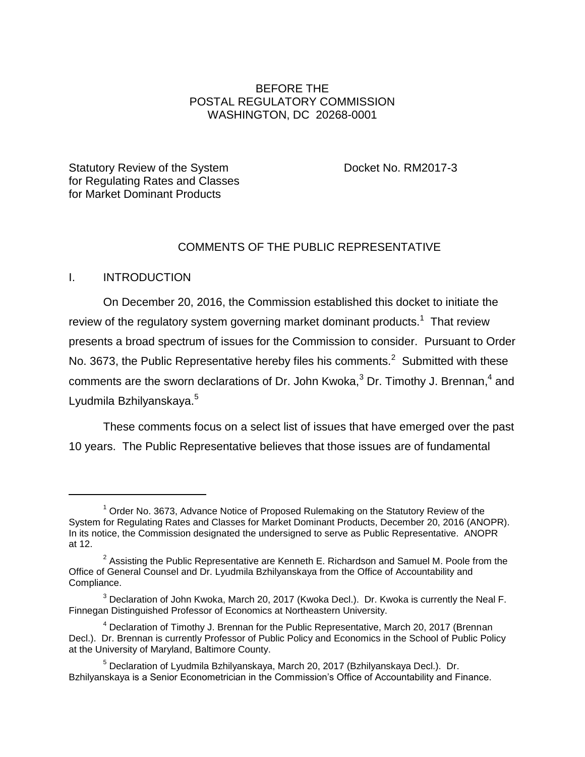# BEFORE THE POSTAL REGULATORY COMMISSION WASHINGTON, DC 20268-0001

Statutory Review of the System Docket No. RM2017-3 for Regulating Rates and Classes for Market Dominant Products

# COMMENTS OF THE PUBLIC REPRESENTATIVE

### <span id="page-3-0"></span>I. INTRODUCTION

 $\overline{a}$ 

On December 20, 2016, the Commission established this docket to initiate the review of the regulatory system governing market dominant products.<sup>1</sup> That review presents a broad spectrum of issues for the Commission to consider. Pursuant to Order No. 3673, the Public Representative hereby files his comments.<sup>2</sup> Submitted with these comments are the sworn declarations of Dr. John Kwoka, $^3$  Dr. Timothy J. Brennan, $^4$  and Lyudmila Bzhilyanskaya.<sup>5</sup>

These comments focus on a select list of issues that have emerged over the past 10 years. The Public Representative believes that those issues are of fundamental

 $1$  Order No. 3673, Advance Notice of Proposed Rulemaking on the Statutory Review of the System for Regulating Rates and Classes for Market Dominant Products, December 20, 2016 (ANOPR). In its notice, the Commission designated the undersigned to serve as Public Representative. ANOPR at 12.

<sup>&</sup>lt;sup>2</sup> Assisting the Public Representative are Kenneth E. Richardson and Samuel M. Poole from the Office of General Counsel and Dr. Lyudmila Bzhilyanskaya from the Office of Accountability and Compliance.

 $3$  Declaration of John Kwoka, March 20, 2017 (Kwoka Decl.). Dr. Kwoka is currently the Neal F. Finnegan Distinguished Professor of Economics at Northeastern University.

<sup>&</sup>lt;sup>4</sup> Declaration of Timothy J. Brennan for the Public Representative, March 20, 2017 (Brennan Decl.). Dr. Brennan is currently Professor of Public Policy and Economics in the School of Public Policy at the University of Maryland, Baltimore County.

<sup>5</sup> Declaration of Lyudmila Bzhilyanskaya, March 20, 2017 (Bzhilyanskaya Decl.). Dr. Bzhilyanskaya is a Senior Econometrician in the Commission's Office of Accountability and Finance.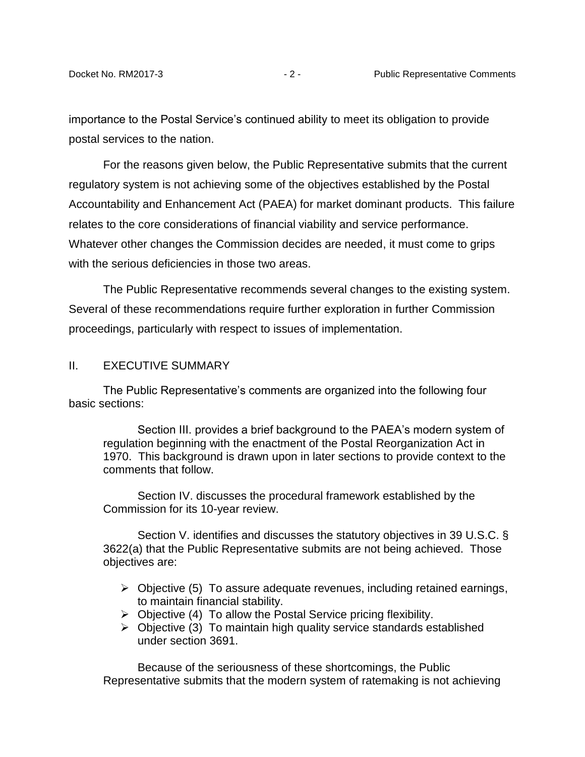importance to the Postal Service's continued ability to meet its obligation to provide postal services to the nation.

For the reasons given below, the Public Representative submits that the current regulatory system is not achieving some of the objectives established by the Postal Accountability and Enhancement Act (PAEA) for market dominant products. This failure relates to the core considerations of financial viability and service performance. Whatever other changes the Commission decides are needed, it must come to grips with the serious deficiencies in those two areas.

The Public Representative recommends several changes to the existing system. Several of these recommendations require further exploration in further Commission proceedings, particularly with respect to issues of implementation.

#### <span id="page-4-0"></span>II. EXECUTIVE SUMMARY

The Public Representative's comments are organized into the following four basic sections:

Section III. provides a brief background to the PAEA's modern system of regulation beginning with the enactment of the Postal Reorganization Act in 1970. This background is drawn upon in later sections to provide context to the comments that follow.

Section IV. discusses the procedural framework established by the Commission for its 10-year review.

Section V. identifies and discusses the statutory objectives in 39 U.S.C. § 3622(a) that the Public Representative submits are not being achieved. Those objectives are:

- $\triangleright$  Objective (5) To assure adequate revenues, including retained earnings, to maintain financial stability.
- $\triangleright$  Objective (4) To allow the Postal Service pricing flexibility.
- $\triangleright$  Objective (3) To maintain high quality service standards established under section 3691.

Because of the seriousness of these shortcomings, the Public Representative submits that the modern system of ratemaking is not achieving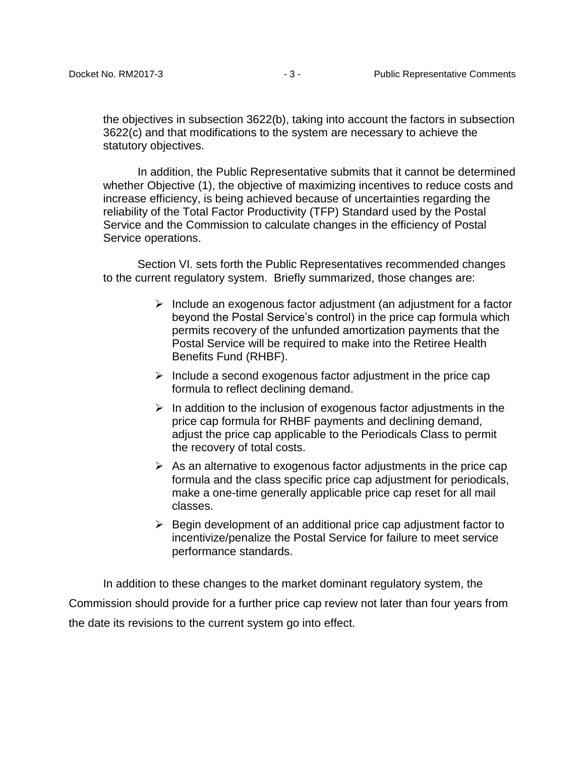the objectives in subsection 3622(b), taking into account the factors in subsection 3622(c) and that modifications to the system are necessary to achieve the statutory objectives.

In addition, the Public Representative submits that it cannot be determined whether Objective (1), the objective of maximizing incentives to reduce costs and increase efficiency, is being achieved because of uncertainties regarding the reliability of the Total Factor Productivity (TFP) Standard used by the Postal Service and the Commission to calculate changes in the efficiency of Postal Service operations.

Section VI. sets forth the Public Representatives recommended changes to the current regulatory system. Briefly summarized, those changes are:

- $\triangleright$  Include an exogenous factor adjustment (an adjustment for a factor beyond the Postal Service's control) in the price cap formula which permits recovery of the unfunded amortization payments that the Postal Service will be required to make into the Retiree Health Benefits Fund (RHBF).
- $\triangleright$  Include a second exogenous factor adjustment in the price cap formula to reflect declining demand.
- $\triangleright$  In addition to the inclusion of exogenous factor adjustments in the price cap formula for RHBF payments and declining demand, adjust the price cap applicable to the Periodicals Class to permit the recovery of total costs.
- $\triangleright$  As an alternative to exogenous factor adjustments in the price cap formula and the class specific price cap adjustment for periodicals, make a one-time generally applicable price cap reset for all mail classes.
- $\triangleright$  Begin development of an additional price cap adjustment factor to incentivize/penalize the Postal Service for failure to meet service performance standards.

In addition to these changes to the market dominant regulatory system, the Commission should provide for a further price cap review not later than four years from the date its revisions to the current system go into effect.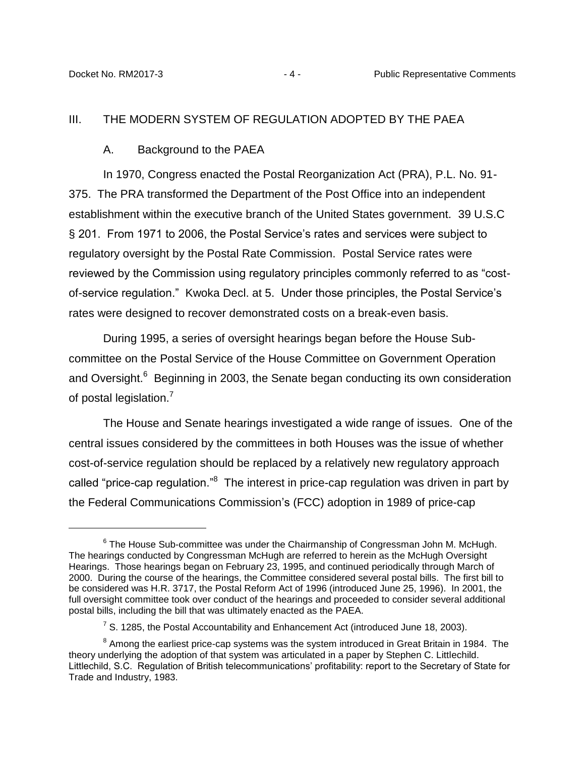#### <span id="page-6-1"></span><span id="page-6-0"></span>III. THE MODERN SYSTEM OF REGULATION ADOPTED BY THE PAEA

#### A. Background to the PAEA

In 1970, Congress enacted the Postal Reorganization Act (PRA), P.L. No. 91- 375. The PRA transformed the Department of the Post Office into an independent establishment within the executive branch of the United States government. 39 U.S.C § 201. From 1971 to 2006, the Postal Service's rates and services were subject to regulatory oversight by the Postal Rate Commission. Postal Service rates were reviewed by the Commission using regulatory principles commonly referred to as "costof-service regulation." Kwoka Decl. at 5. Under those principles, the Postal Service's rates were designed to recover demonstrated costs on a break-even basis.

During 1995, a series of oversight hearings began before the House Subcommittee on the Postal Service of the House Committee on Government Operation and Oversight.<sup>6</sup> Beginning in 2003, the Senate began conducting its own consideration of postal legislation.<sup>7</sup>

The House and Senate hearings investigated a wide range of issues. One of the central issues considered by the committees in both Houses was the issue of whether cost-of-service regulation should be replaced by a relatively new regulatory approach called "price-cap regulation."<sup>8</sup> The interest in price-cap regulation was driven in part by the Federal Communications Commission's (FCC) adoption in 1989 of price-cap

 $6$  The House Sub-committee was under the Chairmanship of Congressman John M. McHugh. The hearings conducted by Congressman McHugh are referred to herein as the McHugh Oversight Hearings. Those hearings began on February 23, 1995, and continued periodically through March of 2000. During the course of the hearings, the Committee considered several postal bills. The first bill to be considered was H.R. 3717, the Postal Reform Act of 1996 (introduced June 25, 1996). In 2001, the full oversight committee took over conduct of the hearings and proceeded to consider several additional postal bills, including the bill that was ultimately enacted as the PAEA.

<sup>&</sup>lt;sup>7</sup> S. 1285, the Postal Accountability and Enhancement Act (introduced June 18, 2003).

 $^8$  Among the earliest price-cap systems was the system introduced in Great Britain in 1984. The theory underlying the adoption of that system was articulated in a paper by Stephen C. Littlechild. Littlechild, S.C. Regulation of British telecommunications' profitability: report to the Secretary of State for Trade and Industry, 1983.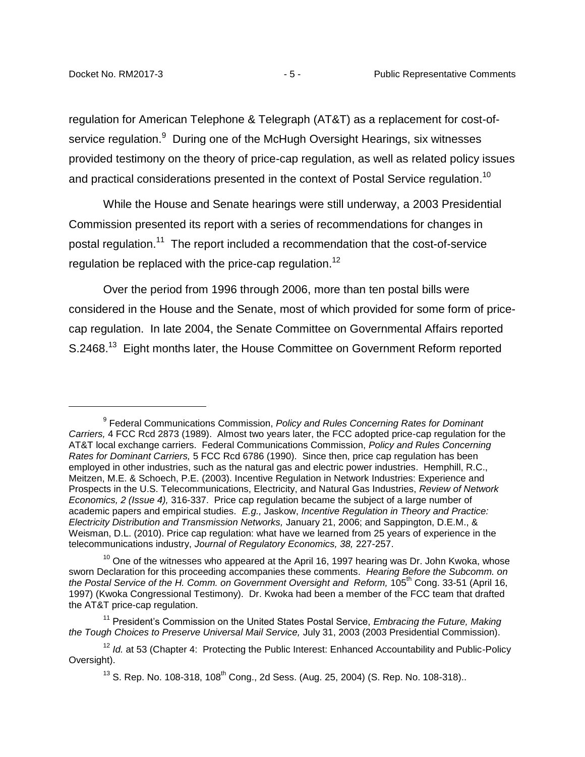regulation for American Telephone & Telegraph (AT&T) as a replacement for cost-ofservice regulation.<sup>9</sup> During one of the McHugh Oversight Hearings, six witnesses provided testimony on the theory of price-cap regulation, as well as related policy issues and practical considerations presented in the context of Postal Service regulation. $^{10}$ 

While the House and Senate hearings were still underway, a 2003 Presidential Commission presented its report with a series of recommendations for changes in postal regulation.<sup>11</sup> The report included a recommendation that the cost-of-service regulation be replaced with the price-cap regulation.<sup>12</sup>

Over the period from 1996 through 2006, more than ten postal bills were considered in the House and the Senate, most of which provided for some form of pricecap regulation. In late 2004, the Senate Committee on Governmental Affairs reported S.2468.<sup>13</sup> Eight months later, the House Committee on Government Reform reported

<sup>9</sup> Federal Communications Commission, *Policy and Rules Concerning Rates for Dominant Carriers,* 4 FCC Rcd 2873 (1989). Almost two years later, the FCC adopted price-cap regulation for the AT&T local exchange carriers. Federal Communications Commission, *Policy and Rules Concerning Rates for Dominant Carriers,* 5 FCC Rcd 6786 (1990). Since then, price cap regulation has been employed in other industries, such as the natural gas and electric power industries. Hemphill, R.C., Meitzen, M.E. & Schoech, P.E. (2003). Incentive Regulation in Network Industries: Experience and Prospects in the U.S. Telecommunications, Electricity, and Natural Gas Industries, *Review of Network Economics, 2 (Issue 4),* 316-337. Price cap regulation became the subject of a large number of academic papers and empirical studies. *E.g.,* Jaskow, *Incentive Regulation in Theory and Practice: Electricity Distribution and Transmission Networks,* January 21, 2006; and Sappington, D.E.M., & Weisman, D.L. (2010). Price cap regulation: what have we learned from 25 years of experience in the telecommunications industry, *Journal of Regulatory Economics, 38,* 227-257.

 $10$  One of the witnesses who appeared at the April 16, 1997 hearing was Dr. John Kwoka, whose sworn Declaration for this proceeding accompanies these comments. *Hearing Before the Subcomm. on the Postal Service of the H. Comm. on Government Oversight and Reform, 105<sup>th</sup> Cong. 33-51 (April 16,* 1997) (Kwoka Congressional Testimony). Dr. Kwoka had been a member of the FCC team that drafted the AT&T price-cap regulation.

<sup>11</sup> President's Commission on the United States Postal Service, *Embracing the Future, Making the Tough Choices to Preserve Universal Mail Service,* July 31, 2003 (2003 Presidential Commission).

<sup>&</sup>lt;sup>12</sup> *Id.* at 53 (Chapter 4: Protecting the Public Interest: Enhanced Accountability and Public-Policy Oversight).

 $13$  S. Rep. No. 108-318, 108<sup>th</sup> Cong., 2d Sess. (Aug. 25, 2004) (S. Rep. No. 108-318)..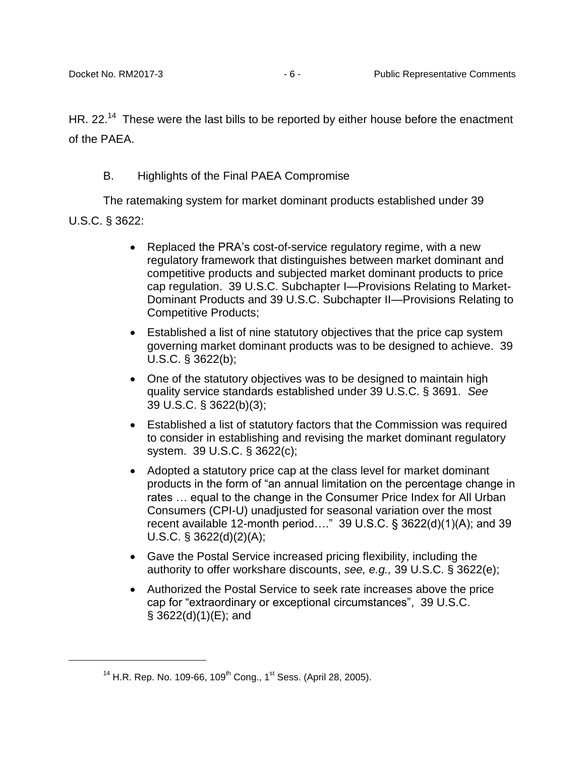HR. 22.<sup>14</sup> These were the last bills to be reported by either house before the enactment of the PAEA.

# B. Highlights of the Final PAEA Compromise

<span id="page-8-0"></span>The ratemaking system for market dominant products established under 39 U.S.C. § 3622:

- Replaced the PRA's cost-of-service regulatory regime, with a new regulatory framework that distinguishes between market dominant and competitive products and subjected market dominant products to price cap regulation. 39 U.S.C. Subchapter I—Provisions Relating to Market-Dominant Products and 39 U.S.C. Subchapter II—Provisions Relating to Competitive Products;
- Established a list of nine statutory objectives that the price cap system governing market dominant products was to be designed to achieve. 39 U.S.C. § 3622(b);
- One of the statutory objectives was to be designed to maintain high quality service standards established under 39 U.S.C. § 3691. *See*  39 U.S.C. § 3622(b)(3);
- Established a list of statutory factors that the Commission was required to consider in establishing and revising the market dominant regulatory system. 39 U.S.C. § 3622(c);
- Adopted a statutory price cap at the class level for market dominant products in the form of "an annual limitation on the percentage change in rates … equal to the change in the Consumer Price Index for All Urban Consumers (CPI-U) unadjusted for seasonal variation over the most recent available 12-month period…." 39 U.S.C. § 3622(d)(1)(A); and 39 U.S.C. § 3622(d)(2)(A);
- Gave the Postal Service increased pricing flexibility, including the authority to offer workshare discounts, *see, e.g.,* 39 U.S.C. § 3622(e);
- Authorized the Postal Service to seek rate increases above the price cap for "extraordinary or exceptional circumstances", 39 U.S.C. § 3622(d)(1)(E); and

 $14$  H.R. Rep. No. 109-66, 109<sup>th</sup> Cong., 1<sup>st</sup> Sess. (April 28, 2005).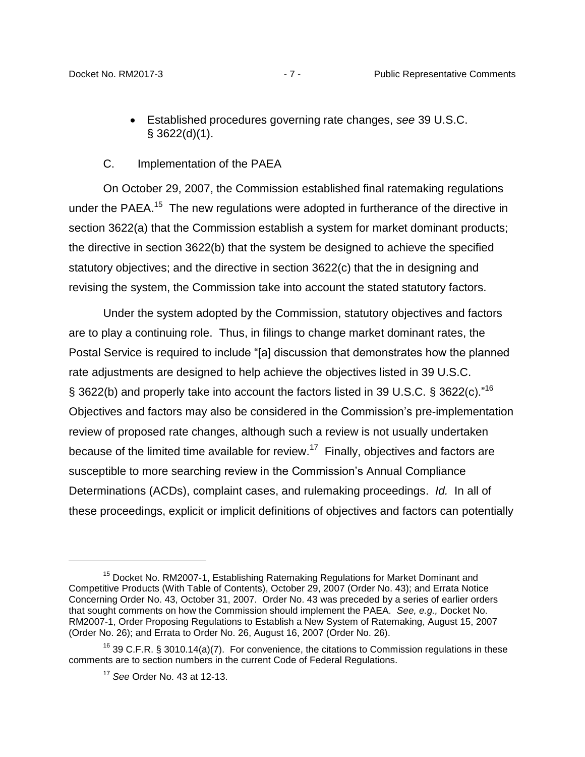Established procedures governing rate changes, *see* 39 U.S.C.  $§$  3622(d)(1).

### C. Implementation of the PAEA

<span id="page-9-0"></span>On October 29, 2007, the Commission established final ratemaking regulations under the PAEA.<sup>15</sup> The new regulations were adopted in furtherance of the directive in section 3622(a) that the Commission establish a system for market dominant products; the directive in section 3622(b) that the system be designed to achieve the specified statutory objectives; and the directive in section 3622(c) that the in designing and revising the system, the Commission take into account the stated statutory factors.

Under the system adopted by the Commission, statutory objectives and factors are to play a continuing role. Thus, in filings to change market dominant rates, the Postal Service is required to include "[a] discussion that demonstrates how the planned rate adjustments are designed to help achieve the objectives listed in 39 U.S.C. § 3622(b) and properly take into account the factors listed in 39 U.S.C. § 3622(c)."<sup>16</sup> Objectives and factors may also be considered in the Commission's pre-implementation review of proposed rate changes, although such a review is not usually undertaken because of the limited time available for review.<sup>17</sup> Finally, objectives and factors are susceptible to more searching review in the Commission's Annual Compliance Determinations (ACDs), complaint cases, and rulemaking proceedings. *Id.* In all of these proceedings, explicit or implicit definitions of objectives and factors can potentially

 $\overline{a}$ 

<sup>&</sup>lt;sup>15</sup> Docket No. RM2007-1, Establishing Ratemaking Regulations for Market Dominant and Competitive Products (With Table of Contents), October 29, 2007 (Order No. 43); and Errata Notice Concerning Order No. 43, October 31, 2007. Order No. 43 was preceded by a series of earlier orders that sought comments on how the Commission should implement the PAEA. *See, e.g.,* Docket No. RM2007-1, Order Proposing Regulations to Establish a New System of Ratemaking, August 15, 2007 (Order No. 26); and Errata to Order No. 26, August 16, 2007 (Order No. 26).

<sup>&</sup>lt;sup>16</sup> 39 C.F.R. § 3010.14(a)(7). For convenience, the citations to Commission regulations in these comments are to section numbers in the current Code of Federal Regulations.

<sup>17</sup> *See* Order No. 43 at 12-13.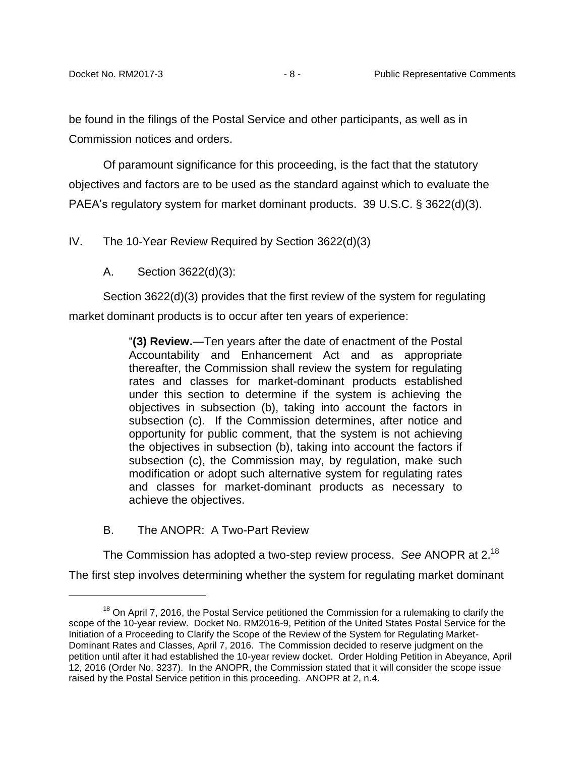be found in the filings of the Postal Service and other participants, as well as in Commission notices and orders.

Of paramount significance for this proceeding, is the fact that the statutory objectives and factors are to be used as the standard against which to evaluate the PAEA's regulatory system for market dominant products. 39 U.S.C. § 3622(d)(3).

<span id="page-10-1"></span><span id="page-10-0"></span>IV. The 10-Year Review Required by Section 3622(d)(3)

A. Section 3622(d)(3):

Section 3622(d)(3) provides that the first review of the system for regulating market dominant products is to occur after ten years of experience:

> "**(3) Review.**—Ten years after the date of enactment of the Postal Accountability and Enhancement Act and as appropriate thereafter, the Commission shall review the system for regulating rates and classes for market-dominant products established under this section to determine if the system is achieving the objectives in subsection (b), taking into account the factors in subsection (c). If the Commission determines, after notice and opportunity for public comment, that the system is not achieving the objectives in subsection (b), taking into account the factors if subsection (c), the Commission may, by regulation, make such modification or adopt such alternative system for regulating rates and classes for market-dominant products as necessary to achieve the objectives.

<span id="page-10-2"></span>B. The ANOPR: A Two-Part Review

 $\overline{a}$ 

The Commission has adopted a two-step review process. *See* ANOPR at 2.<sup>18</sup> The first step involves determining whether the system for regulating market dominant

 $18$  On April 7, 2016, the Postal Service petitioned the Commission for a rulemaking to clarify the scope of the 10-year review. Docket No. RM2016-9, Petition of the United States Postal Service for the Initiation of a Proceeding to Clarify the Scope of the Review of the System for Regulating Market-Dominant Rates and Classes, April 7, 2016. The Commission decided to reserve judgment on the petition until after it had established the 10-year review docket. Order Holding Petition in Abeyance, April 12, 2016 (Order No. 3237). In the ANOPR, the Commission stated that it will consider the scope issue raised by the Postal Service petition in this proceeding. ANOPR at 2, n.4.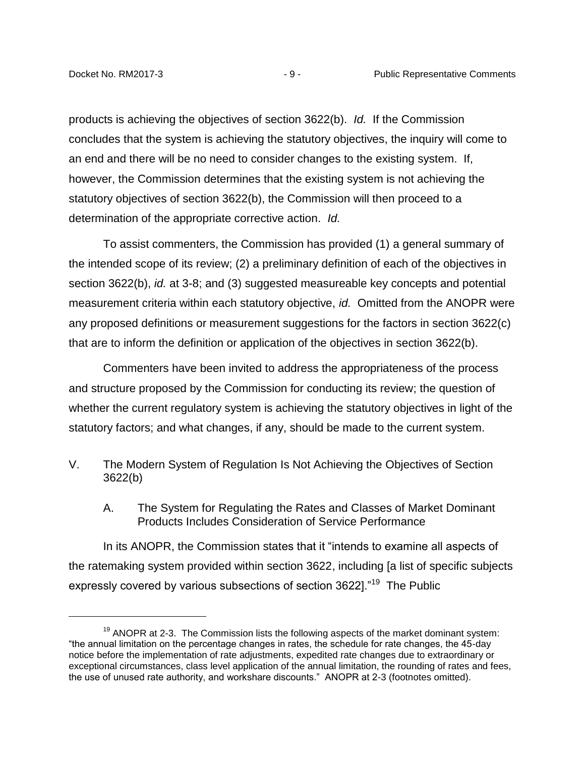products is achieving the objectives of section 3622(b). *Id.* If the Commission concludes that the system is achieving the statutory objectives, the inquiry will come to an end and there will be no need to consider changes to the existing system. If, however, the Commission determines that the existing system is not achieving the statutory objectives of section 3622(b), the Commission will then proceed to a determination of the appropriate corrective action. *Id.* 

To assist commenters, the Commission has provided (1) a general summary of the intended scope of its review; (2) a preliminary definition of each of the objectives in section 3622(b), *id.* at 3-8; and (3) suggested measureable key concepts and potential measurement criteria within each statutory objective, *id.* Omitted from the ANOPR were any proposed definitions or measurement suggestions for the factors in section 3622(c) that are to inform the definition or application of the objectives in section 3622(b).

Commenters have been invited to address the appropriateness of the process and structure proposed by the Commission for conducting its review; the question of whether the current regulatory system is achieving the statutory objectives in light of the statutory factors; and what changes, if any, should be made to the current system.

- <span id="page-11-1"></span><span id="page-11-0"></span>V. The Modern System of Regulation Is Not Achieving the Objectives of Section 3622(b)
	- A. The System for Regulating the Rates and Classes of Market Dominant Products Includes Consideration of Service Performance

In its ANOPR, the Commission states that it "intends to examine all aspects of the ratemaking system provided within section 3622, including [a list of specific subjects expressly covered by various subsections of section 3622]."<sup>19</sup> The Public

 $19$  ANOPR at 2-3. The Commission lists the following aspects of the market dominant system: "the annual limitation on the percentage changes in rates, the schedule for rate changes, the 45-day notice before the implementation of rate adjustments, expedited rate changes due to extraordinary or exceptional circumstances, class level application of the annual limitation, the rounding of rates and fees, the use of unused rate authority, and workshare discounts." ANOPR at 2-3 (footnotes omitted).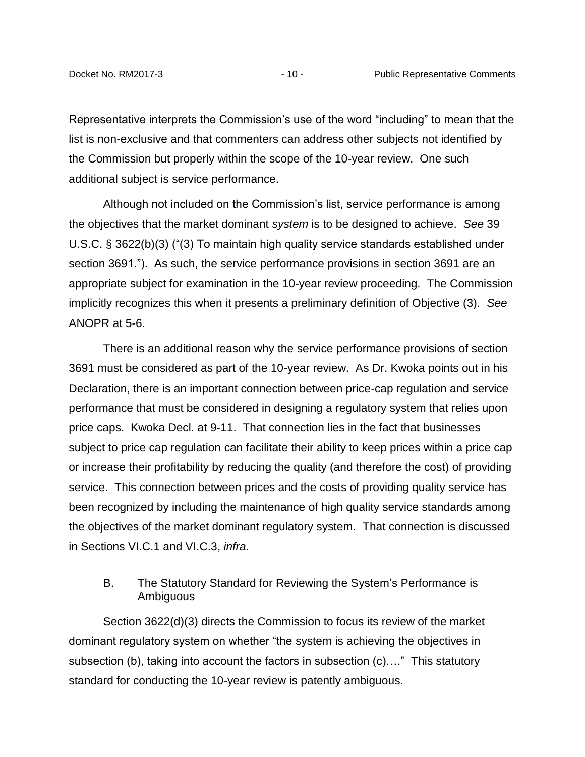Representative interprets the Commission's use of the word "including" to mean that the list is non-exclusive and that commenters can address other subjects not identified by the Commission but properly within the scope of the 10-year review. One such additional subject is service performance.

Although not included on the Commission's list, service performance is among the objectives that the market dominant *system* is to be designed to achieve. *See* 39 U.S.C. § 3622(b)(3) ("(3) To maintain high quality service standards established under section 3691."). As such, the service performance provisions in section 3691 are an appropriate subject for examination in the 10-year review proceeding. The Commission implicitly recognizes this when it presents a preliminary definition of Objective (3). *See*  ANOPR at 5-6.

There is an additional reason why the service performance provisions of section 3691 must be considered as part of the 10-year review. As Dr. Kwoka points out in his Declaration, there is an important connection between price-cap regulation and service performance that must be considered in designing a regulatory system that relies upon price caps. Kwoka Decl. at 9-11. That connection lies in the fact that businesses subject to price cap regulation can facilitate their ability to keep prices within a price cap or increase their profitability by reducing the quality (and therefore the cost) of providing service. This connection between prices and the costs of providing quality service has been recognized by including the maintenance of high quality service standards among the objectives of the market dominant regulatory system. That connection is discussed in Sections VI.C.1 and VI.C.3, *infra.*

# <span id="page-12-0"></span>B. The Statutory Standard for Reviewing the System's Performance is Ambiguous

Section 3622(d)(3) directs the Commission to focus its review of the market dominant regulatory system on whether "the system is achieving the objectives in subsection (b), taking into account the factors in subsection (c)…." This statutory standard for conducting the 10-year review is patently ambiguous.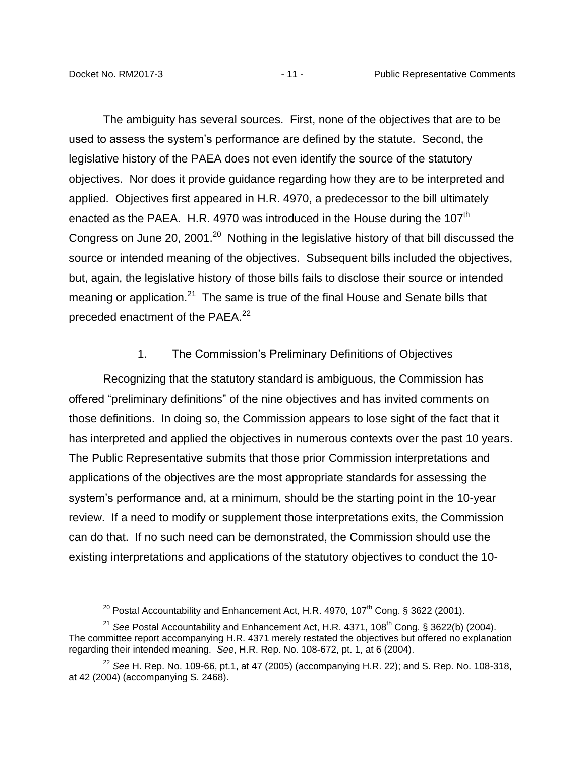The ambiguity has several sources. First, none of the objectives that are to be used to assess the system's performance are defined by the statute. Second, the legislative history of the PAEA does not even identify the source of the statutory objectives. Nor does it provide guidance regarding how they are to be interpreted and applied. Objectives first appeared in H.R. 4970, a predecessor to the bill ultimately enacted as the PAEA. H.R. 4970 was introduced in the House during the 107<sup>th</sup> Congress on June 20, 2001. $^{20}$  Nothing in the legislative history of that bill discussed the source or intended meaning of the objectives. Subsequent bills included the objectives, but, again, the legislative history of those bills fails to disclose their source or intended meaning or application.<sup>21</sup> The same is true of the final House and Senate bills that preceded enactment of the PAEA.<sup>22</sup>

#### 1. The Commission's Preliminary Definitions of Objectives

<span id="page-13-0"></span>Recognizing that the statutory standard is ambiguous, the Commission has offered "preliminary definitions" of the nine objectives and has invited comments on those definitions. In doing so, the Commission appears to lose sight of the fact that it has interpreted and applied the objectives in numerous contexts over the past 10 years. The Public Representative submits that those prior Commission interpretations and applications of the objectives are the most appropriate standards for assessing the system's performance and, at a minimum, should be the starting point in the 10-year review. If a need to modify or supplement those interpretations exits, the Commission can do that. If no such need can be demonstrated, the Commission should use the existing interpretations and applications of the statutory objectives to conduct the 10-

<sup>&</sup>lt;sup>20</sup> Postal Accountability and Enhancement Act, H.R. 4970, 107<sup>th</sup> Cong. § 3622 (2001).

<sup>&</sup>lt;sup>21</sup> See Postal Accountability and Enhancement Act, H.R. 4371, 108<sup>th</sup> Cong. § 3622(b) (2004). The committee report accompanying H.R. 4371 merely restated the objectives but offered no explanation regarding their intended meaning. *See*, H.R. Rep. No. 108-672, pt. 1, at 6 (2004).

 $^{22}$  See H. Rep. No. 109-66, pt.1, at 47 (2005) (accompanying H.R. 22); and S. Rep. No. 108-318, at 42 (2004) (accompanying S. 2468).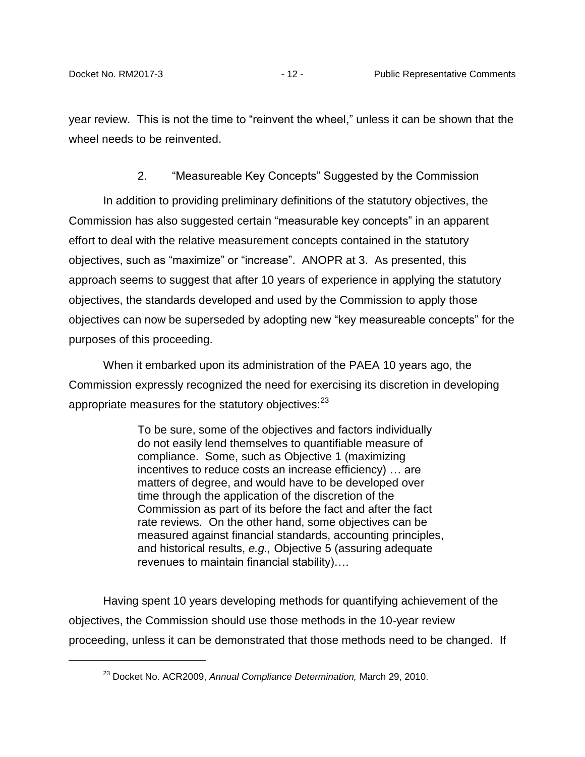year review. This is not the time to "reinvent the wheel," unless it can be shown that the wheel needs to be reinvented.

2. "Measureable Key Concepts" Suggested by the Commission

<span id="page-14-0"></span>In addition to providing preliminary definitions of the statutory objectives, the Commission has also suggested certain "measurable key concepts" in an apparent effort to deal with the relative measurement concepts contained in the statutory objectives, such as "maximize" or "increase". ANOPR at 3. As presented, this approach seems to suggest that after 10 years of experience in applying the statutory objectives, the standards developed and used by the Commission to apply those objectives can now be superseded by adopting new "key measureable concepts" for the purposes of this proceeding.

When it embarked upon its administration of the PAEA 10 years ago, the Commission expressly recognized the need for exercising its discretion in developing appropriate measures for the statutory objectives:<sup>23</sup>

> To be sure, some of the objectives and factors individually do not easily lend themselves to quantifiable measure of compliance. Some, such as Objective 1 (maximizing incentives to reduce costs an increase efficiency) … are matters of degree, and would have to be developed over time through the application of the discretion of the Commission as part of its before the fact and after the fact rate reviews. On the other hand, some objectives can be measured against financial standards, accounting principles, and historical results, *e.g.,* Objective 5 (assuring adequate revenues to maintain financial stability)….

Having spent 10 years developing methods for quantifying achievement of the objectives, the Commission should use those methods in the 10-year review proceeding, unless it can be demonstrated that those methods need to be changed. If

<sup>23</sup> Docket No. ACR2009, *Annual Compliance Determination,* March 29, 2010.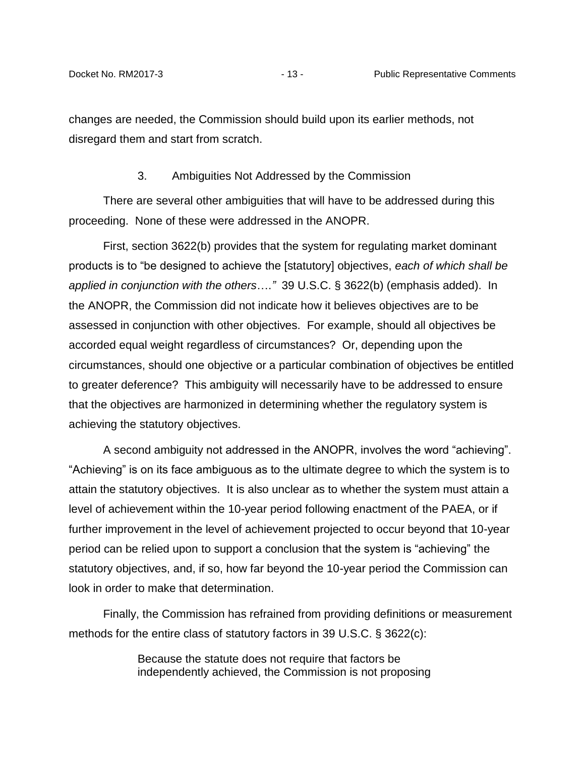changes are needed, the Commission should build upon its earlier methods, not disregard them and start from scratch.

#### 3. Ambiguities Not Addressed by the Commission

<span id="page-15-0"></span>There are several other ambiguities that will have to be addressed during this proceeding. None of these were addressed in the ANOPR.

First, section 3622(b) provides that the system for regulating market dominant products is to "be designed to achieve the [statutory] objectives, *each of which shall be applied in conjunction with the others*….*"* 39 U.S.C. § 3622(b) (emphasis added). In the ANOPR, the Commission did not indicate how it believes objectives are to be assessed in conjunction with other objectives. For example, should all objectives be accorded equal weight regardless of circumstances? Or, depending upon the circumstances, should one objective or a particular combination of objectives be entitled to greater deference? This ambiguity will necessarily have to be addressed to ensure that the objectives are harmonized in determining whether the regulatory system is achieving the statutory objectives.

A second ambiguity not addressed in the ANOPR, involves the word "achieving". "Achieving" is on its face ambiguous as to the ultimate degree to which the system is to attain the statutory objectives. It is also unclear as to whether the system must attain a level of achievement within the 10-year period following enactment of the PAEA, or if further improvement in the level of achievement projected to occur beyond that 10-year period can be relied upon to support a conclusion that the system is "achieving" the statutory objectives, and, if so, how far beyond the 10-year period the Commission can look in order to make that determination.

Finally, the Commission has refrained from providing definitions or measurement methods for the entire class of statutory factors in 39 U.S.C. § 3622(c):

> Because the statute does not require that factors be independently achieved, the Commission is not proposing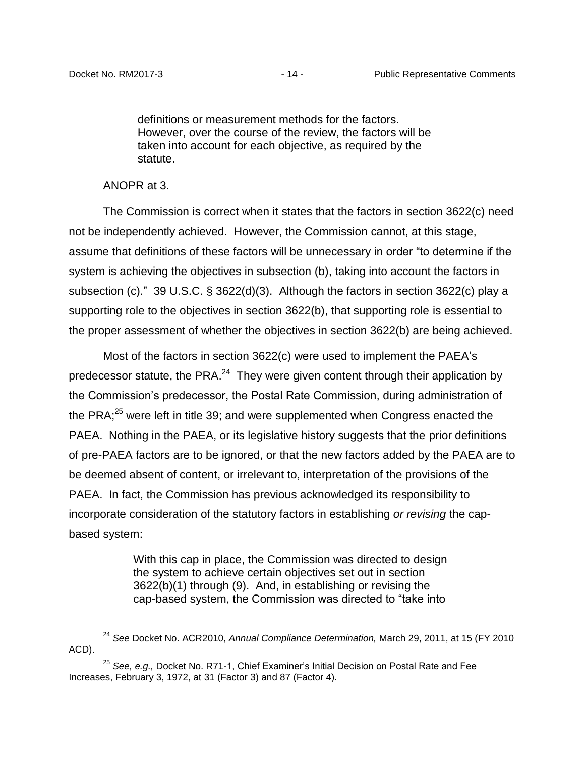definitions or measurement methods for the factors. However, over the course of the review, the factors will be taken into account for each objective, as required by the statute.

ANOPR at 3.

 $\overline{a}$ 

The Commission is correct when it states that the factors in section 3622(c) need not be independently achieved. However, the Commission cannot, at this stage, assume that definitions of these factors will be unnecessary in order "to determine if the system is achieving the objectives in subsection (b), taking into account the factors in subsection (c)." 39 U.S.C. § 3622(d)(3). Although the factors in section 3622(c) play a supporting role to the objectives in section 3622(b), that supporting role is essential to the proper assessment of whether the objectives in section 3622(b) are being achieved.

Most of the factors in section 3622(c) were used to implement the PAEA's predecessor statute, the PRA.<sup>24</sup> They were given content through their application by the Commission's predecessor, the Postal Rate Commission, during administration of the PRA; $^{25}$  were left in title 39; and were supplemented when Congress enacted the PAEA. Nothing in the PAEA, or its legislative history suggests that the prior definitions of pre-PAEA factors are to be ignored, or that the new factors added by the PAEA are to be deemed absent of content, or irrelevant to, interpretation of the provisions of the PAEA. In fact, the Commission has previous acknowledged its responsibility to incorporate consideration of the statutory factors in establishing *or revising* the capbased system:

> With this cap in place, the Commission was directed to design the system to achieve certain objectives set out in section 3622(b)(1) through (9). And, in establishing or revising the cap-based system, the Commission was directed to "take into

<sup>24</sup> *See* Docket No. ACR2010, *Annual Compliance Determination,* March 29, 2011, at 15 (FY 2010 ACD).

<sup>25</sup> *See, e.g.,* Docket No. R71-1, Chief Examiner's Initial Decision on Postal Rate and Fee Increases, February 3, 1972, at 31 (Factor 3) and 87 (Factor 4).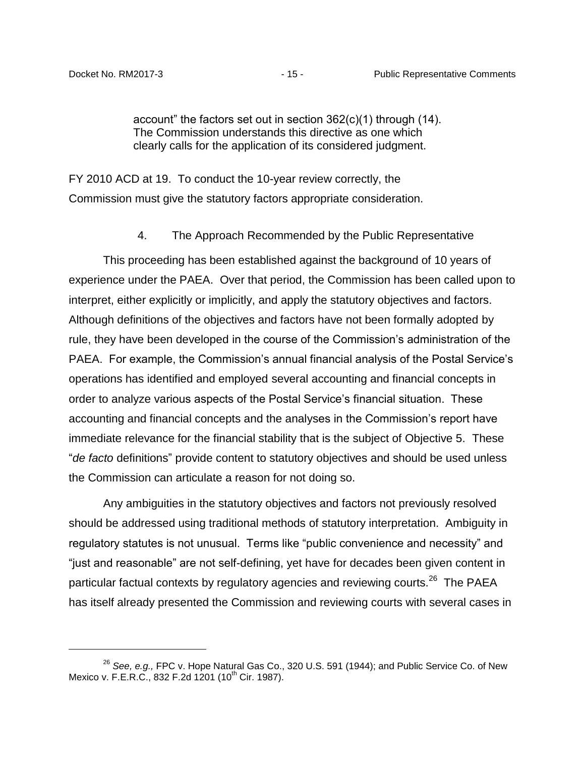account" the factors set out in section 362(c)(1) through (14). The Commission understands this directive as one which clearly calls for the application of its considered judgment.

<span id="page-17-0"></span>FY 2010 ACD at 19. To conduct the 10-year review correctly, the Commission must give the statutory factors appropriate consideration.

### 4. The Approach Recommended by the Public Representative

This proceeding has been established against the background of 10 years of experience under the PAEA. Over that period, the Commission has been called upon to interpret, either explicitly or implicitly, and apply the statutory objectives and factors. Although definitions of the objectives and factors have not been formally adopted by rule, they have been developed in the course of the Commission's administration of the PAEA. For example, the Commission's annual financial analysis of the Postal Service's operations has identified and employed several accounting and financial concepts in order to analyze various aspects of the Postal Service's financial situation. These accounting and financial concepts and the analyses in the Commission's report have immediate relevance for the financial stability that is the subject of Objective 5. These "*de facto* definitions" provide content to statutory objectives and should be used unless the Commission can articulate a reason for not doing so.

Any ambiguities in the statutory objectives and factors not previously resolved should be addressed using traditional methods of statutory interpretation. Ambiguity in regulatory statutes is not unusual. Terms like "public convenience and necessity" and "just and reasonable" are not self-defining, yet have for decades been given content in particular factual contexts by regulatory agencies and reviewing courts.<sup>26</sup> The PAEA has itself already presented the Commission and reviewing courts with several cases in

<sup>26</sup> *See, e.g.,* FPC v. Hope Natural Gas Co., 320 U.S. 591 (1944); and Public Service Co. of New Mexico v. F.E.R.C., 832 F.2d 1201 (10<sup>th</sup> Cir. 1987).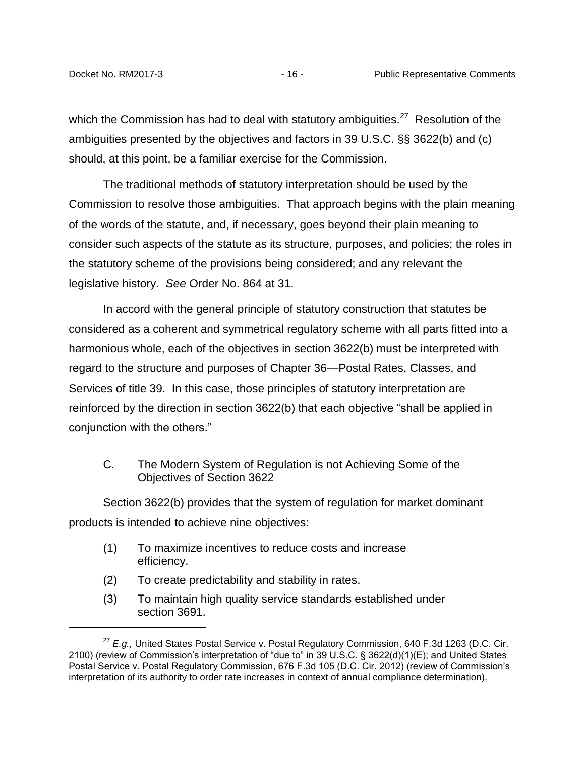which the Commission has had to deal with statutory ambiguities.<sup>27</sup> Resolution of the ambiguities presented by the objectives and factors in 39 U.S.C. §§ 3622(b) and (c) should, at this point, be a familiar exercise for the Commission.

The traditional methods of statutory interpretation should be used by the Commission to resolve those ambiguities. That approach begins with the plain meaning of the words of the statute, and, if necessary, goes beyond their plain meaning to consider such aspects of the statute as its structure, purposes, and policies; the roles in the statutory scheme of the provisions being considered; and any relevant the legislative history. *See* Order No. 864 at 31.

In accord with the general principle of statutory construction that statutes be considered as a coherent and symmetrical regulatory scheme with all parts fitted into a harmonious whole, each of the objectives in section 3622(b) must be interpreted with regard to the structure and purposes of Chapter 36—Postal Rates, Classes, and Services of title 39. In this case, those principles of statutory interpretation are reinforced by the direction in section 3622(b) that each objective "shall be applied in conjunction with the others."

<span id="page-18-0"></span>C. The Modern System of Regulation is not Achieving Some of the Objectives of Section 3622

Section 3622(b) provides that the system of regulation for market dominant products is intended to achieve nine objectives:

- (1) To maximize incentives to reduce costs and increase efficiency.
- (2) To create predictability and stability in rates.
- (3) To maintain high quality service standards established under section 3691.

<sup>27</sup> *E.g.,* United States Postal Service v. Postal Regulatory Commission, 640 F.3d 1263 (D.C. Cir. 2100) (review of Commission's interpretation of "due to" in 39 U.S.C. § 3622(d)(1)(E); and United States Postal Service v. Postal Regulatory Commission, 676 F.3d 105 (D.C. Cir. 2012) (review of Commission's interpretation of its authority to order rate increases in context of annual compliance determination).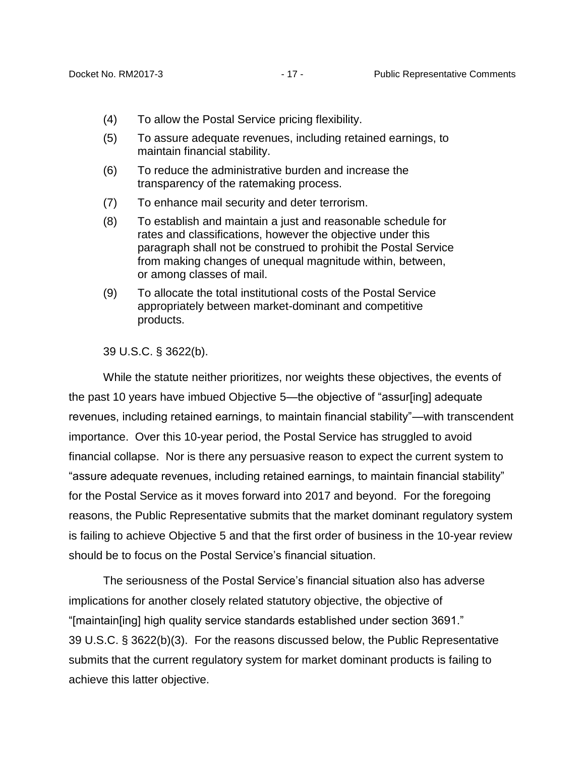- (4) To allow the Postal Service pricing flexibility.
- (5) To assure adequate revenues, including retained earnings, to maintain financial stability.
- (6) To reduce the administrative burden and increase the transparency of the ratemaking process.
- (7) To enhance mail security and deter terrorism.
- (8) To establish and maintain a just and reasonable schedule for rates and classifications, however the objective under this paragraph shall not be construed to prohibit the Postal Service from making changes of unequal magnitude within, between, or among classes of mail.
- (9) To allocate the total institutional costs of the Postal Service appropriately between market-dominant and competitive products.

39 U.S.C. § 3622(b).

While the statute neither prioritizes, nor weights these objectives, the events of the past 10 years have imbued Objective 5—the objective of "assur[ing] adequate revenues, including retained earnings, to maintain financial stability"—with transcendent importance. Over this 10-year period, the Postal Service has struggled to avoid financial collapse. Nor is there any persuasive reason to expect the current system to "assure adequate revenues, including retained earnings, to maintain financial stability" for the Postal Service as it moves forward into 2017 and beyond. For the foregoing reasons, the Public Representative submits that the market dominant regulatory system is failing to achieve Objective 5 and that the first order of business in the 10-year review should be to focus on the Postal Service's financial situation.

The seriousness of the Postal Service's financial situation also has adverse implications for another closely related statutory objective, the objective of "[maintain[ing] high quality service standards established under section 3691." 39 U.S.C. § 3622(b)(3). For the reasons discussed below, the Public Representative submits that the current regulatory system for market dominant products is failing to achieve this latter objective.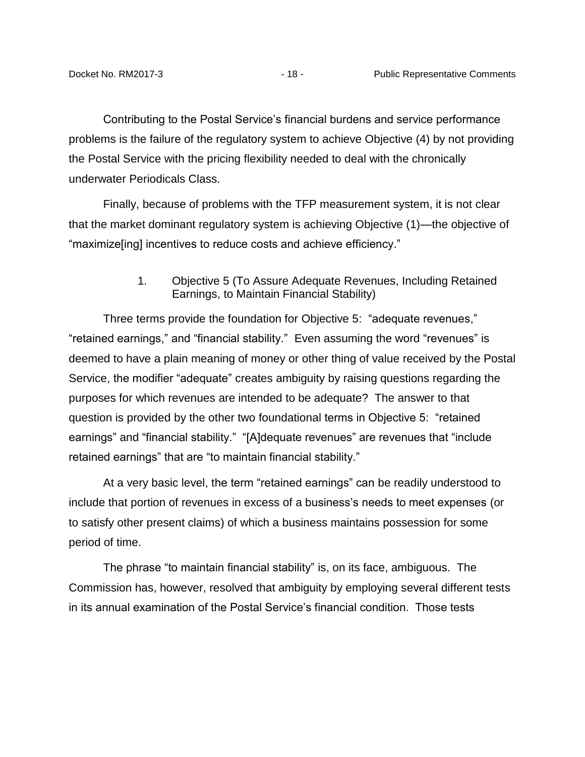Contributing to the Postal Service's financial burdens and service performance problems is the failure of the regulatory system to achieve Objective (4) by not providing the Postal Service with the pricing flexibility needed to deal with the chronically underwater Periodicals Class.

Finally, because of problems with the TFP measurement system, it is not clear that the market dominant regulatory system is achieving Objective (1)—the objective of "maximize[ing] incentives to reduce costs and achieve efficiency."

> 1. Objective 5 (To Assure Adequate Revenues, Including Retained Earnings, to Maintain Financial Stability)

<span id="page-20-0"></span>Three terms provide the foundation for Objective 5: "adequate revenues," "retained earnings," and "financial stability." Even assuming the word "revenues" is deemed to have a plain meaning of money or other thing of value received by the Postal Service, the modifier "adequate" creates ambiguity by raising questions regarding the purposes for which revenues are intended to be adequate? The answer to that question is provided by the other two foundational terms in Objective 5: "retained earnings" and "financial stability." "[A]dequate revenues" are revenues that "include retained earnings" that are "to maintain financial stability."

At a very basic level, the term "retained earnings" can be readily understood to include that portion of revenues in excess of a business's needs to meet expenses (or to satisfy other present claims) of which a business maintains possession for some period of time.

The phrase "to maintain financial stability" is, on its face, ambiguous. The Commission has, however, resolved that ambiguity by employing several different tests in its annual examination of the Postal Service's financial condition. Those tests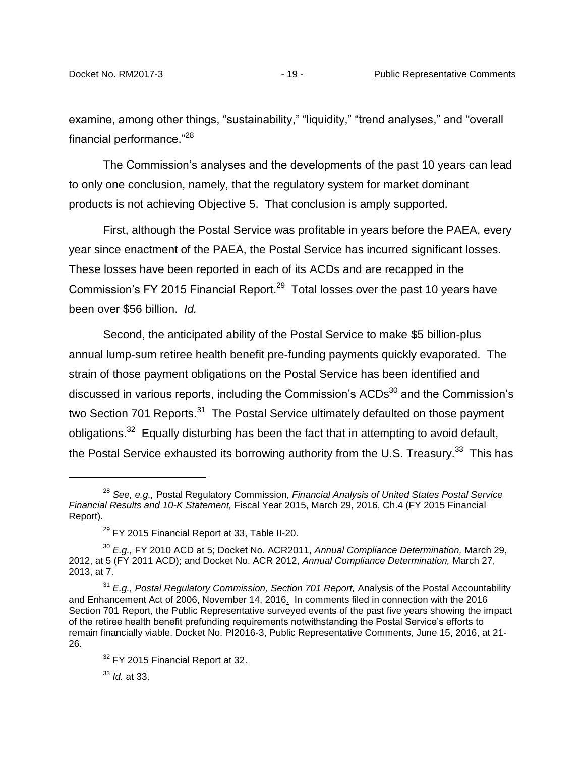examine, among other things, "sustainability," "liquidity," "trend analyses," and "overall financial performance."<sup>28</sup>

The Commission's analyses and the developments of the past 10 years can lead to only one conclusion, namely, that the regulatory system for market dominant products is not achieving Objective 5. That conclusion is amply supported.

First, although the Postal Service was profitable in years before the PAEA, every year since enactment of the PAEA, the Postal Service has incurred significant losses. These losses have been reported in each of its ACDs and are recapped in the Commission's FY 2015 Financial Report.<sup>29</sup> Total losses over the past 10 years have been over \$56 billion. *Id.*

Second, the anticipated ability of the Postal Service to make \$5 billion-plus annual lump-sum retiree health benefit pre-funding payments quickly evaporated. The strain of those payment obligations on the Postal Service has been identified and discussed in various reports, including the Commission's ACDs<sup>30</sup> and the Commission's two Section 701 Reports.<sup>31</sup> The Postal Service ultimately defaulted on those payment obligations.<sup>32</sup> Equally disturbing has been the fact that in attempting to avoid default, the Postal Service exhausted its borrowing authority from the U.S. Treasury.<sup>33</sup> This has

<sup>33</sup> *Id.* at 33.

 $\overline{a}$ 

<sup>28</sup> *See, e.g.,* Postal Regulatory Commission, *Financial Analysis of United States Postal Service Financial Results and 10-K Statement,* Fiscal Year 2015, March 29, 2016, Ch.4 (FY 2015 Financial Report).

 $29$  FY 2015 Financial Report at 33, Table II-20.

<sup>30</sup> *E.g.,* FY 2010 ACD at 5; Docket No. ACR2011, *Annual Compliance Determination,* March 29, 2012, at 5 (FY 2011 ACD); and Docket No. ACR 2012, *Annual Compliance Determination,* March 27, 2013, at 7.

<sup>&</sup>lt;sup>31</sup> *E.g., Postal Regulatory Commission, Section 701 Report, Analysis of the Postal Accountability* and Enhancement Act of 2006, November 14, 2016. In comments filed in connection with the 2016 Section 701 Report, the Public Representative surveyed events of the past five years showing the impact of the retiree health benefit prefunding requirements notwithstanding the Postal Service's efforts to remain financially viable. Docket No. PI2016-3, Public Representative Comments, June 15, 2016, at 21- 26.

<sup>&</sup>lt;sup>32</sup> FY 2015 Financial Report at 32.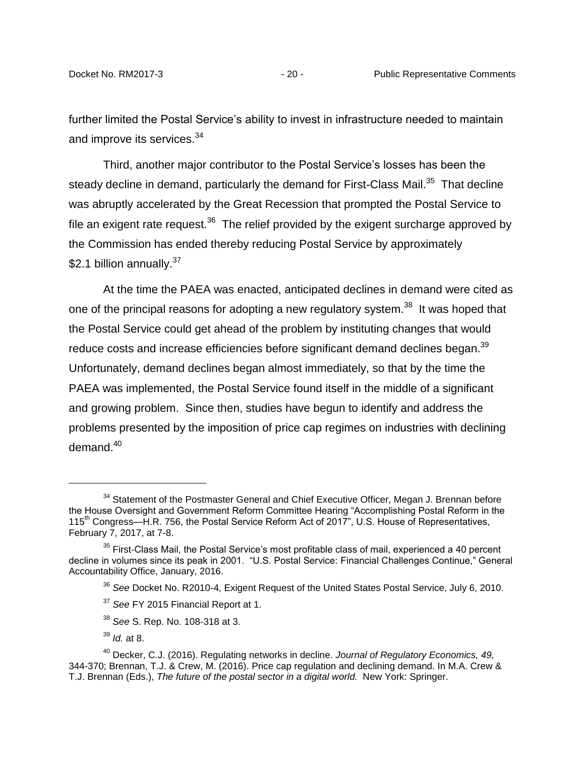further limited the Postal Service's ability to invest in infrastructure needed to maintain and improve its services.<sup>34</sup>

Third, another major contributor to the Postal Service's losses has been the steady decline in demand, particularly the demand for First-Class Mail.<sup>35</sup> That decline was abruptly accelerated by the Great Recession that prompted the Postal Service to file an exigent rate request.<sup>36</sup> The relief provided by the exigent surcharge approved by the Commission has ended thereby reducing Postal Service by approximately \$2.1 billion annually.<sup>37</sup>

At the time the PAEA was enacted, anticipated declines in demand were cited as one of the principal reasons for adopting a new regulatory system.<sup>38</sup> It was hoped that the Postal Service could get ahead of the problem by instituting changes that would reduce costs and increase efficiencies before significant demand declines began. $^{39}$ Unfortunately, demand declines began almost immediately, so that by the time the PAEA was implemented, the Postal Service found itself in the middle of a significant and growing problem. Since then, studies have begun to identify and address the problems presented by the imposition of price cap regimes on industries with declining demand. $40$ 

<sup>39</sup> *Id.* at 8.

 $\overline{a}$ 

 $34$  Statement of the Postmaster General and Chief Executive Officer, Megan J. Brennan before the House Oversight and Government Reform Committee Hearing "Accomplishing Postal Reform in the 115<sup>th</sup> Congress—H.R. 756, the Postal Service Reform Act of 2017", U.S. House of Representatives, February 7, 2017, at 7-8.

 $35$  First-Class Mail, the Postal Service's most profitable class of mail, experienced a 40 percent decline in volumes since its peak in 2001. "U.S. Postal Service: Financial Challenges Continue," General Accountability Office, January, 2016.

<sup>36</sup> *See* Docket No. R2010-4, Exigent Request of the United States Postal Service, July 6, 2010.

<sup>37</sup> *See* FY 2015 Financial Report at 1.

<sup>38</sup> *See* S. Rep. No. 108-318 at 3.

<sup>40</sup> Decker, C.J. (2016). Regulating networks in decline. *Journal of Regulatory Economics, 49,*  344-370; Brennan, T.J. & Crew, M. (2016). Price cap regulation and declining demand. In M.A. Crew & T.J. Brennan (Eds.), *The future of the postal sector in a digital world.* New York: Springer.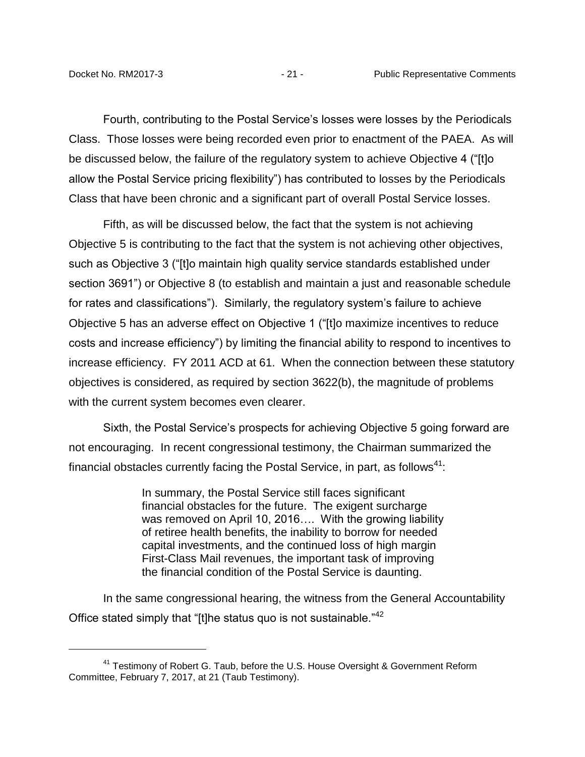Fourth, contributing to the Postal Service's losses were losses by the Periodicals Class. Those losses were being recorded even prior to enactment of the PAEA. As will be discussed below, the failure of the regulatory system to achieve Objective 4 ("[t]o allow the Postal Service pricing flexibility") has contributed to losses by the Periodicals Class that have been chronic and a significant part of overall Postal Service losses.

Fifth, as will be discussed below, the fact that the system is not achieving Objective 5 is contributing to the fact that the system is not achieving other objectives, such as Objective 3 ("[t]o maintain high quality service standards established under section 3691") or Objective 8 (to establish and maintain a just and reasonable schedule for rates and classifications"). Similarly, the regulatory system's failure to achieve Objective 5 has an adverse effect on Objective 1 ("[t]o maximize incentives to reduce costs and increase efficiency") by limiting the financial ability to respond to incentives to increase efficiency. FY 2011 ACD at 61. When the connection between these statutory objectives is considered, as required by section 3622(b), the magnitude of problems with the current system becomes even clearer.

Sixth, the Postal Service's prospects for achieving Objective 5 going forward are not encouraging. In recent congressional testimony, the Chairman summarized the financial obstacles currently facing the Postal Service, in part, as follows<sup>41</sup>:

> In summary, the Postal Service still faces significant financial obstacles for the future. The exigent surcharge was removed on April 10, 2016…. With the growing liability of retiree health benefits, the inability to borrow for needed capital investments, and the continued loss of high margin First-Class Mail revenues, the important task of improving the financial condition of the Postal Service is daunting.

In the same congressional hearing, the witness from the General Accountability Office stated simply that "[t]he status quo is not sustainable."<sup>42</sup>

<sup>&</sup>lt;sup>41</sup> Testimony of Robert G. Taub, before the U.S. House Oversight & Government Reform Committee, February 7, 2017, at 21 (Taub Testimony).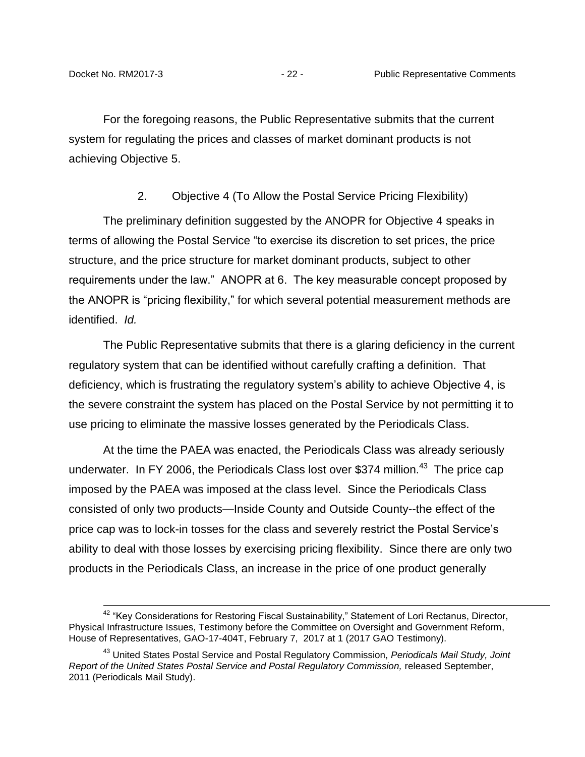For the foregoing reasons, the Public Representative submits that the current system for regulating the prices and classes of market dominant products is not achieving Objective 5.

2. Objective 4 (To Allow the Postal Service Pricing Flexibility)

<span id="page-24-0"></span>The preliminary definition suggested by the ANOPR for Objective 4 speaks in terms of allowing the Postal Service "to exercise its discretion to set prices, the price structure, and the price structure for market dominant products, subject to other requirements under the law." ANOPR at 6. The key measurable concept proposed by the ANOPR is "pricing flexibility," for which several potential measurement methods are identified. *Id.*

The Public Representative submits that there is a glaring deficiency in the current regulatory system that can be identified without carefully crafting a definition. That deficiency, which is frustrating the regulatory system's ability to achieve Objective 4, is the severe constraint the system has placed on the Postal Service by not permitting it to use pricing to eliminate the massive losses generated by the Periodicals Class.

At the time the PAEA was enacted, the Periodicals Class was already seriously underwater. In FY 2006, the Periodicals Class lost over \$374 million.<sup>43</sup> The price cap imposed by the PAEA was imposed at the class level. Since the Periodicals Class consisted of only two products—Inside County and Outside County--the effect of the price cap was to lock-in tosses for the class and severely restrict the Postal Service's ability to deal with those losses by exercising pricing flexibility. Since there are only two products in the Periodicals Class, an increase in the price of one product generally

<sup>&</sup>lt;sup>42</sup> "Key Considerations for Restoring Fiscal Sustainability," Statement of Lori Rectanus, Director, Physical Infrastructure Issues, Testimony before the Committee on Oversight and Government Reform, House of Representatives, GAO-17-404T, February 7, 2017 at 1 (2017 GAO Testimony).

<sup>43</sup> United States Postal Service and Postal Regulatory Commission, *Periodicals Mail Study, Joint Report of the United States Postal Service and Postal Regulatory Commission,* released September, 2011 (Periodicals Mail Study).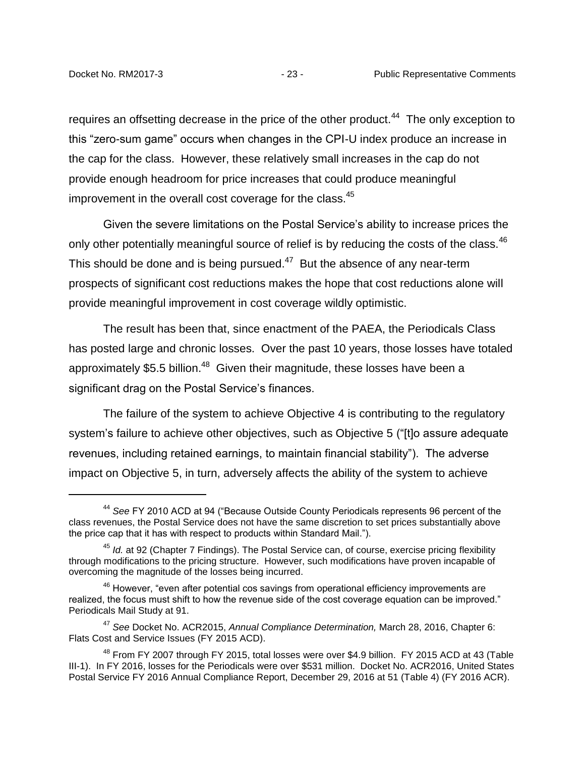requires an offsetting decrease in the price of the other product.<sup>44</sup> The only exception to this "zero-sum game" occurs when changes in the CPI-U index produce an increase in the cap for the class. However, these relatively small increases in the cap do not provide enough headroom for price increases that could produce meaningful improvement in the overall cost coverage for the class.<sup>45</sup>

Given the severe limitations on the Postal Service's ability to increase prices the only other potentially meaningful source of relief is by reducing the costs of the class.<sup>46</sup> This should be done and is being pursued. $47$  But the absence of any near-term prospects of significant cost reductions makes the hope that cost reductions alone will provide meaningful improvement in cost coverage wildly optimistic.

The result has been that, since enactment of the PAEA, the Periodicals Class has posted large and chronic losses. Over the past 10 years, those losses have totaled approximately \$5.5 billion.<sup>48</sup> Given their magnitude, these losses have been a significant drag on the Postal Service's finances.

The failure of the system to achieve Objective 4 is contributing to the regulatory system's failure to achieve other objectives, such as Objective 5 ("[t]o assure adequate revenues, including retained earnings, to maintain financial stability"). The adverse impact on Objective 5, in turn, adversely affects the ability of the system to achieve

<sup>44</sup> *See* FY 2010 ACD at 94 ("Because Outside County Periodicals represents 96 percent of the class revenues, the Postal Service does not have the same discretion to set prices substantially above the price cap that it has with respect to products within Standard Mail.").

<sup>45</sup> *Id.* at 92 (Chapter 7 Findings). The Postal Service can, of course, exercise pricing flexibility through modifications to the pricing structure. However, such modifications have proven incapable of overcoming the magnitude of the losses being incurred.

 $46$  However, "even after potential cos savings from operational efficiency improvements are realized, the focus must shift to how the revenue side of the cost coverage equation can be improved." Periodicals Mail Study at 91.

<sup>47</sup> *See* Docket No. ACR2015, *Annual Compliance Determination,* March 28, 2016, Chapter 6: Flats Cost and Service Issues (FY 2015 ACD).

 $48$  From FY 2007 through FY 2015, total losses were over \$4.9 billion. FY 2015 ACD at 43 (Table III-1). In FY 2016, losses for the Periodicals were over \$531 million. Docket No. ACR2016, United States Postal Service FY 2016 Annual Compliance Report, December 29, 2016 at 51 (Table 4) (FY 2016 ACR).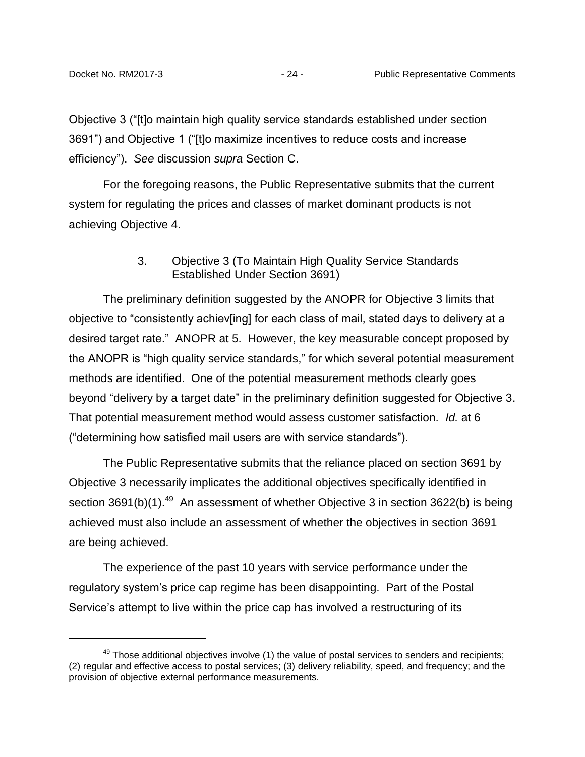Objective 3 ("[t]o maintain high quality service standards established under section 3691") and Objective 1 ("[t]o maximize incentives to reduce costs and increase efficiency"). *See* discussion *supra* Section C.

For the foregoing reasons, the Public Representative submits that the current system for regulating the prices and classes of market dominant products is not achieving Objective 4.

### 3. Objective 3 (To Maintain High Quality Service Standards Established Under Section 3691)

<span id="page-26-0"></span>The preliminary definition suggested by the ANOPR for Objective 3 limits that objective to "consistently achiev[ing] for each class of mail, stated days to delivery at a desired target rate." ANOPR at 5. However, the key measurable concept proposed by the ANOPR is "high quality service standards," for which several potential measurement methods are identified. One of the potential measurement methods clearly goes beyond "delivery by a target date" in the preliminary definition suggested for Objective 3. That potential measurement method would assess customer satisfaction. *Id.* at 6 ("determining how satisfied mail users are with service standards").

The Public Representative submits that the reliance placed on section 3691 by Objective 3 necessarily implicates the additional objectives specifically identified in section 3691(b)(1).<sup>49</sup> An assessment of whether Objective 3 in section 3622(b) is being achieved must also include an assessment of whether the objectives in section 3691 are being achieved.

The experience of the past 10 years with service performance under the regulatory system's price cap regime has been disappointing. Part of the Postal Service's attempt to live within the price cap has involved a restructuring of its

 $49$  Those additional objectives involve (1) the value of postal services to senders and recipients; (2) regular and effective access to postal services; (3) delivery reliability, speed, and frequency; and the provision of objective external performance measurements.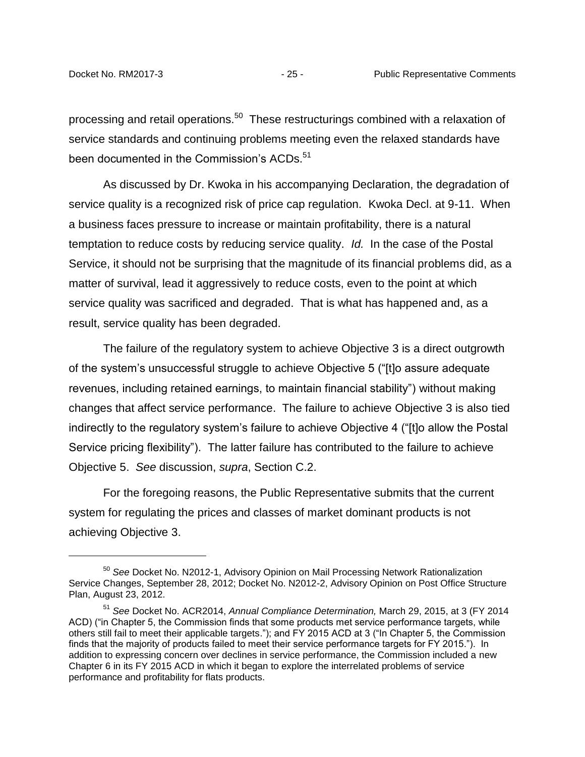processing and retail operations.<sup>50</sup> These restructurings combined with a relaxation of service standards and continuing problems meeting even the relaxed standards have been documented in the Commission's ACDs.<sup>51</sup>

As discussed by Dr. Kwoka in his accompanying Declaration, the degradation of service quality is a recognized risk of price cap regulation. Kwoka Decl. at 9-11. When a business faces pressure to increase or maintain profitability, there is a natural temptation to reduce costs by reducing service quality. *Id.* In the case of the Postal Service, it should not be surprising that the magnitude of its financial problems did, as a matter of survival, lead it aggressively to reduce costs, even to the point at which service quality was sacrificed and degraded. That is what has happened and, as a result, service quality has been degraded.

The failure of the regulatory system to achieve Objective 3 is a direct outgrowth of the system's unsuccessful struggle to achieve Objective 5 ("[t]o assure adequate revenues, including retained earnings, to maintain financial stability") without making changes that affect service performance. The failure to achieve Objective 3 is also tied indirectly to the regulatory system's failure to achieve Objective 4 ("[t]o allow the Postal Service pricing flexibility"). The latter failure has contributed to the failure to achieve Objective 5. *See* discussion, *supra*, Section C.2.

For the foregoing reasons, the Public Representative submits that the current system for regulating the prices and classes of market dominant products is not achieving Objective 3.

<sup>50</sup> *See* Docket No. N2012-1, Advisory Opinion on Mail Processing Network Rationalization Service Changes, September 28, 2012; Docket No. N2012-2, Advisory Opinion on Post Office Structure Plan, August 23, 2012.

<sup>51</sup> *See* Docket No. ACR2014, *Annual Compliance Determination,* March 29, 2015, at 3 (FY 2014 ACD) ("in Chapter 5, the Commission finds that some products met service performance targets, while others still fail to meet their applicable targets."); and FY 2015 ACD at 3 ("In Chapter 5, the Commission finds that the majority of products failed to meet their service performance targets for FY 2015."). In addition to expressing concern over declines in service performance, the Commission included a new Chapter 6 in its FY 2015 ACD in which it began to explore the interrelated problems of service performance and profitability for flats products.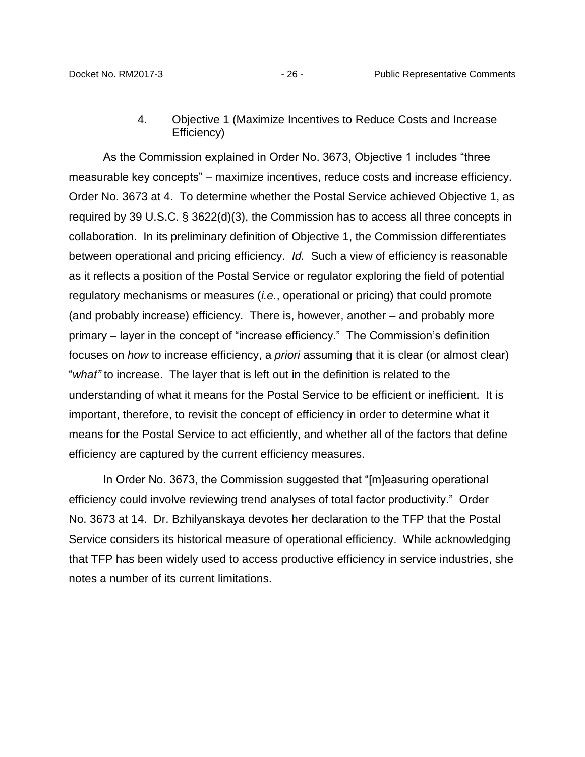#### 4. Objective 1 (Maximize Incentives to Reduce Costs and Increase Efficiency)

<span id="page-28-0"></span>As the Commission explained in Order No. 3673, Objective 1 includes "three measurable key concepts" – maximize incentives, reduce costs and increase efficiency. Order No. 3673 at 4. To determine whether the Postal Service achieved Objective 1, as required by 39 U.S.C. § 3622(d)(3), the Commission has to access all three concepts in collaboration. In its preliminary definition of Objective 1, the Commission differentiates between operational and pricing efficiency. *Id.* Such a view of efficiency is reasonable as it reflects a position of the Postal Service or regulator exploring the field of potential regulatory mechanisms or measures (*i.e.*, operational or pricing) that could promote (and probably increase) efficiency. There is, however, another – and probably more primary – layer in the concept of "increase efficiency." The Commission's definition focuses on *how* to increase efficiency, a *priori* assuming that it is clear (or almost clear) "*what"* to increase. The layer that is left out in the definition is related to the understanding of what it means for the Postal Service to be efficient or inefficient. It is important, therefore, to revisit the concept of efficiency in order to determine what it means for the Postal Service to act efficiently, and whether all of the factors that define efficiency are captured by the current efficiency measures.

In Order No. 3673, the Commission suggested that "[m]easuring operational efficiency could involve reviewing trend analyses of total factor productivity." Order No. 3673 at 14. Dr. Bzhilyanskaya devotes her declaration to the TFP that the Postal Service considers its historical measure of operational efficiency. While acknowledging that TFP has been widely used to access productive efficiency in service industries, she notes a number of its current limitations.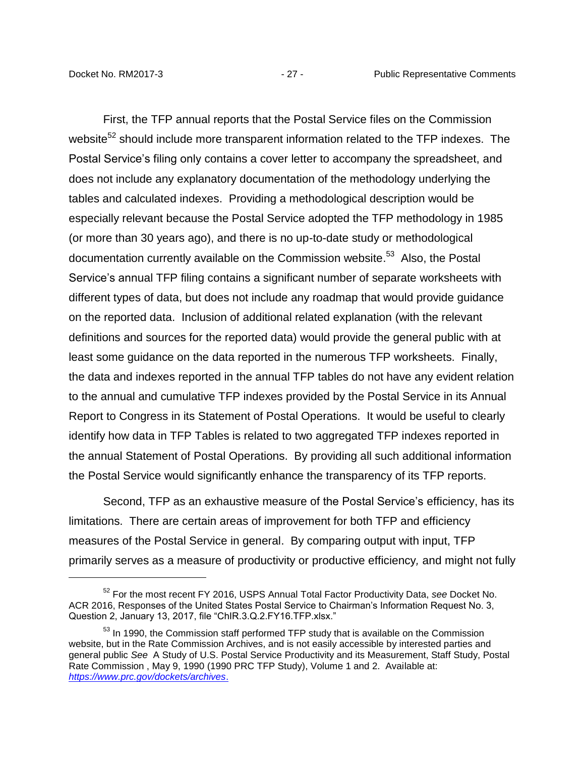First, the TFP annual reports that the Postal Service files on the Commission website<sup>52</sup> should include more transparent information related to the TFP indexes. The Postal Service's filing only contains a cover letter to accompany the spreadsheet, and does not include any explanatory documentation of the methodology underlying the tables and calculated indexes. Providing a methodological description would be especially relevant because the Postal Service adopted the TFP methodology in 1985 (or more than 30 years ago), and there is no up-to-date study or methodological documentation currently available on the Commission website.<sup>53</sup> Also, the Postal Service's annual TFP filing contains a significant number of separate worksheets with different types of data, but does not include any roadmap that would provide guidance on the reported data. Inclusion of additional related explanation (with the relevant definitions and sources for the reported data) would provide the general public with at least some guidance on the data reported in the numerous TFP worksheets. Finally, the data and indexes reported in the annual TFP tables do not have any evident relation to the annual and cumulative TFP indexes provided by the Postal Service in its Annual Report to Congress in its Statement of Postal Operations. It would be useful to clearly identify how data in TFP Tables is related to two aggregated TFP indexes reported in the annual Statement of Postal Operations. By providing all such additional information the Postal Service would significantly enhance the transparency of its TFP reports.

Second, TFP as an exhaustive measure of the Postal Service's efficiency, has its limitations. There are certain areas of improvement for both TFP and efficiency measures of the Postal Service in general. By comparing output with input, TFP primarily serves as a measure of productivity or productive efficiency*,* and might not fully

<sup>52</sup> For the most recent FY 2016, USPS Annual Total Factor Productivity Data, *see* Docket No. ACR 2016, Responses of the United States Postal Service to Chairman's Information Request No. 3, Question 2, January 13, 2017, file "ChIR.3.Q.2.FY16.TFP.xlsx."

 $<sup>53</sup>$  In 1990, the Commission staff performed TFP study that is available on the Commission</sup> website, but in the Rate Commission Archives, and is not easily accessible by interested parties and general public *See* A Study of U.S. Postal Service Productivity and its Measurement, Staff Study, Postal Rate Commission , May 9, 1990 (1990 PRC TFP Study), Volume 1 and 2. Available at: *<https://www.prc.gov/dockets/archives>*.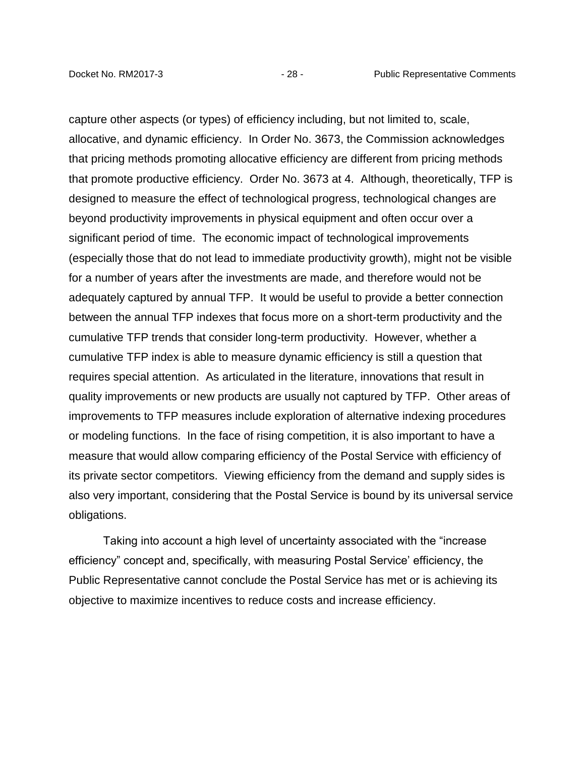capture other aspects (or types) of efficiency including, but not limited to, scale, allocative, and dynamic efficiency. In Order No. 3673, the Commission acknowledges that pricing methods promoting allocative efficiency are different from pricing methods that promote productive efficiency. Order No. 3673 at 4. Although, theoretically, TFP is designed to measure the effect of technological progress, technological changes are beyond productivity improvements in physical equipment and often occur over a significant period of time. The economic impact of technological improvements (especially those that do not lead to immediate productivity growth), might not be visible for a number of years after the investments are made, and therefore would not be adequately captured by annual TFP. It would be useful to provide a better connection between the annual TFP indexes that focus more on a short-term productivity and the cumulative TFP trends that consider long-term productivity. However, whether a cumulative TFP index is able to measure dynamic efficiency is still a question that requires special attention. As articulated in the literature, innovations that result in quality improvements or new products are usually not captured by TFP. Other areas of improvements to TFP measures include exploration of alternative indexing procedures or modeling functions. In the face of rising competition, it is also important to have a measure that would allow comparing efficiency of the Postal Service with efficiency of its private sector competitors. Viewing efficiency from the demand and supply sides is also very important, considering that the Postal Service is bound by its universal service obligations.

Taking into account a high level of uncertainty associated with the "increase efficiency" concept and, specifically, with measuring Postal Service' efficiency, the Public Representative cannot conclude the Postal Service has met or is achieving its objective to maximize incentives to reduce costs and increase efficiency.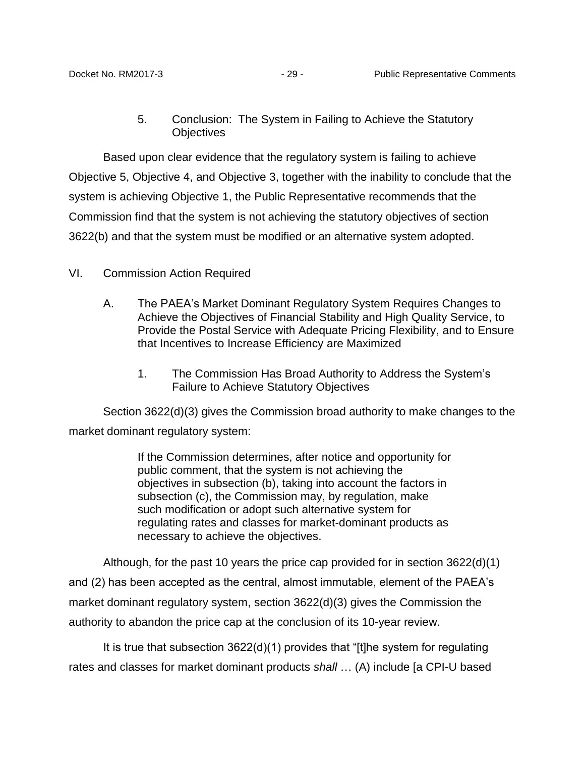5. Conclusion: The System in Failing to Achieve the Statutory **Objectives** 

<span id="page-31-0"></span>Based upon clear evidence that the regulatory system is failing to achieve Objective 5, Objective 4, and Objective 3, together with the inability to conclude that the system is achieving Objective 1, the Public Representative recommends that the Commission find that the system is not achieving the statutory objectives of section 3622(b) and that the system must be modified or an alternative system adopted.

# <span id="page-31-2"></span><span id="page-31-1"></span>VI. Commission Action Required

- A. The PAEA's Market Dominant Regulatory System Requires Changes to Achieve the Objectives of Financial Stability and High Quality Service, to Provide the Postal Service with Adequate Pricing Flexibility, and to Ensure that Incentives to Increase Efficiency are Maximized
	- 1. The Commission Has Broad Authority to Address the System's Failure to Achieve Statutory Objectives

<span id="page-31-3"></span>Section 3622(d)(3) gives the Commission broad authority to make changes to the market dominant regulatory system:

> If the Commission determines, after notice and opportunity for public comment, that the system is not achieving the objectives in subsection (b), taking into account the factors in subsection (c), the Commission may, by regulation, make such modification or adopt such alternative system for regulating rates and classes for market-dominant products as necessary to achieve the objectives.

Although, for the past 10 years the price cap provided for in section 3622(d)(1) and (2) has been accepted as the central, almost immutable, element of the PAEA's market dominant regulatory system, section 3622(d)(3) gives the Commission the authority to abandon the price cap at the conclusion of its 10-year review.

It is true that subsection 3622(d)(1) provides that "[t]he system for regulating rates and classes for market dominant products *shall* … (A) include [a CPI-U based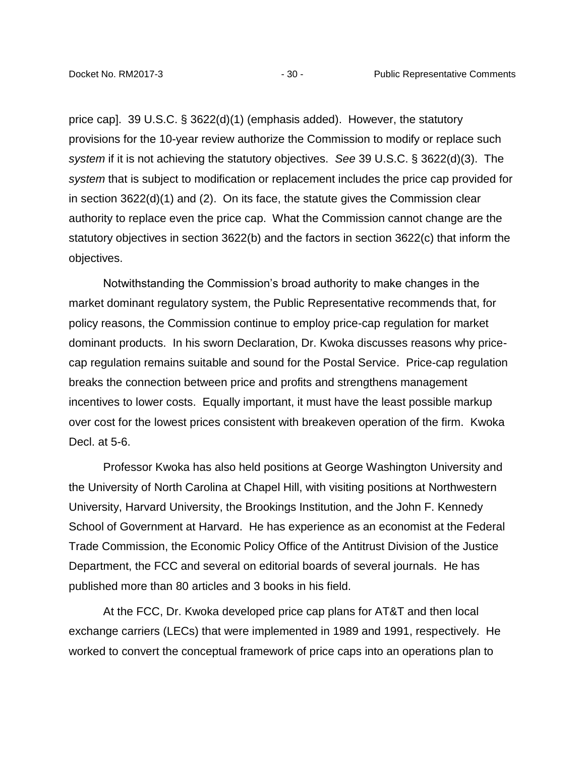price cap]. 39 U.S.C. § 3622(d)(1) (emphasis added). However, the statutory provisions for the 10-year review authorize the Commission to modify or replace such *system* if it is not achieving the statutory objectives. *See* 39 U.S.C. § 3622(d)(3). The *system* that is subject to modification or replacement includes the price cap provided for in section 3622(d)(1) and (2). On its face, the statute gives the Commission clear authority to replace even the price cap. What the Commission cannot change are the statutory objectives in section 3622(b) and the factors in section 3622(c) that inform the objectives.

Notwithstanding the Commission's broad authority to make changes in the market dominant regulatory system, the Public Representative recommends that, for policy reasons, the Commission continue to employ price-cap regulation for market dominant products. In his sworn Declaration, Dr. Kwoka discusses reasons why pricecap regulation remains suitable and sound for the Postal Service. Price-cap regulation breaks the connection between price and profits and strengthens management incentives to lower costs. Equally important, it must have the least possible markup over cost for the lowest prices consistent with breakeven operation of the firm. Kwoka Decl. at 5-6.

Professor Kwoka has also held positions at George Washington University and the University of North Carolina at Chapel Hill, with visiting positions at Northwestern University, Harvard University, the Brookings Institution, and the John F. Kennedy School of Government at Harvard. He has experience as an economist at the Federal Trade Commission, the Economic Policy Office of the Antitrust Division of the Justice Department, the FCC and several on editorial boards of several journals. He has published more than 80 articles and 3 books in his field.

At the FCC, Dr. Kwoka developed price cap plans for AT&T and then local exchange carriers (LECs) that were implemented in 1989 and 1991, respectively. He worked to convert the conceptual framework of price caps into an operations plan to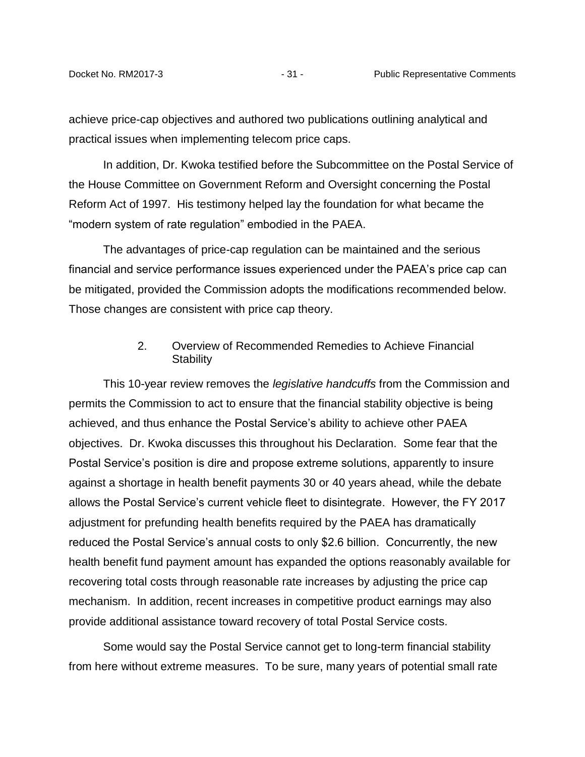achieve price-cap objectives and authored two publications outlining analytical and practical issues when implementing telecom price caps.

In addition, Dr. Kwoka testified before the Subcommittee on the Postal Service of the House Committee on Government Reform and Oversight concerning the Postal Reform Act of 1997. His testimony helped lay the foundation for what became the "modern system of rate regulation" embodied in the PAEA.

The advantages of price-cap regulation can be maintained and the serious financial and service performance issues experienced under the PAEA's price cap can be mitigated, provided the Commission adopts the modifications recommended below. Those changes are consistent with price cap theory.

### 2. Overview of Recommended Remedies to Achieve Financial **Stability**

<span id="page-33-0"></span>This 10-year review removes the *legislative handcuffs* from the Commission and permits the Commission to act to ensure that the financial stability objective is being achieved, and thus enhance the Postal Service's ability to achieve other PAEA objectives. Dr. Kwoka discusses this throughout his Declaration. Some fear that the Postal Service's position is dire and propose extreme solutions, apparently to insure against a shortage in health benefit payments 30 or 40 years ahead, while the debate allows the Postal Service's current vehicle fleet to disintegrate. However, the FY 2017 adjustment for prefunding health benefits required by the PAEA has dramatically reduced the Postal Service's annual costs to only \$2.6 billion. Concurrently, the new health benefit fund payment amount has expanded the options reasonably available for recovering total costs through reasonable rate increases by adjusting the price cap mechanism. In addition, recent increases in competitive product earnings may also provide additional assistance toward recovery of total Postal Service costs.

Some would say the Postal Service cannot get to long-term financial stability from here without extreme measures. To be sure, many years of potential small rate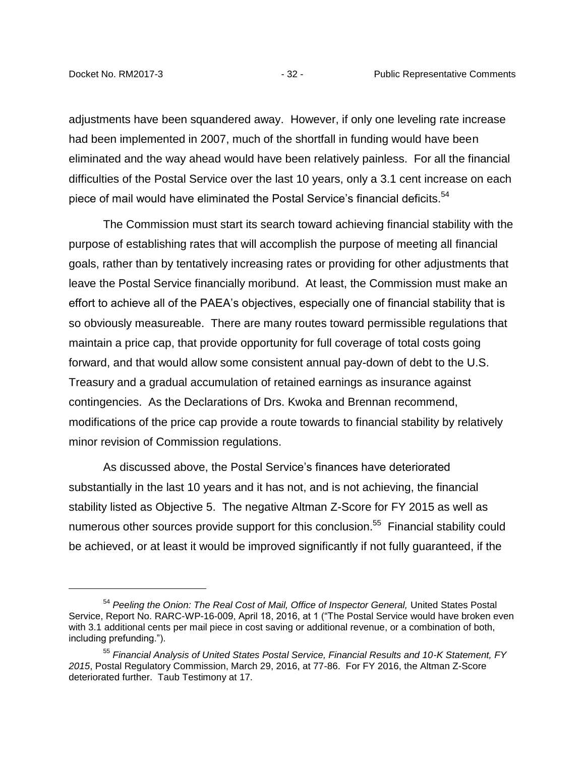adjustments have been squandered away. However, if only one leveling rate increase had been implemented in 2007, much of the shortfall in funding would have been eliminated and the way ahead would have been relatively painless. For all the financial difficulties of the Postal Service over the last 10 years, only a 3.1 cent increase on each piece of mail would have eliminated the Postal Service's financial deficits. $54$ 

The Commission must start its search toward achieving financial stability with the purpose of establishing rates that will accomplish the purpose of meeting all financial goals, rather than by tentatively increasing rates or providing for other adjustments that leave the Postal Service financially moribund. At least, the Commission must make an effort to achieve all of the PAEA's objectives, especially one of financial stability that is so obviously measureable. There are many routes toward permissible regulations that maintain a price cap, that provide opportunity for full coverage of total costs going forward, and that would allow some consistent annual pay-down of debt to the U.S. Treasury and a gradual accumulation of retained earnings as insurance against contingencies. As the Declarations of Drs. Kwoka and Brennan recommend, modifications of the price cap provide a route towards to financial stability by relatively minor revision of Commission regulations.

As discussed above, the Postal Service's finances have deteriorated substantially in the last 10 years and it has not, and is not achieving, the financial stability listed as Objective 5. The negative Altman Z-Score for FY 2015 as well as numerous other sources provide support for this conclusion.<sup>55</sup> Financial stability could be achieved, or at least it would be improved significantly if not fully guaranteed, if the

<sup>54</sup> *Peeling the Onion: The Real Cost of Mail, Office of Inspector General,* United States Postal Service, Report No. RARC-WP-16-009, April 18, 2016, at 1 ("The Postal Service would have broken even with 3.1 additional cents per mail piece in cost saving or additional revenue, or a combination of both, including prefunding.").

<sup>55</sup> *Financial Analysis of United States Postal Service, Financial Results and 10-K Statement, FY 2015*, Postal Regulatory Commission, March 29, 2016, at 77-86. For FY 2016, the Altman Z-Score deteriorated further. Taub Testimony at 17.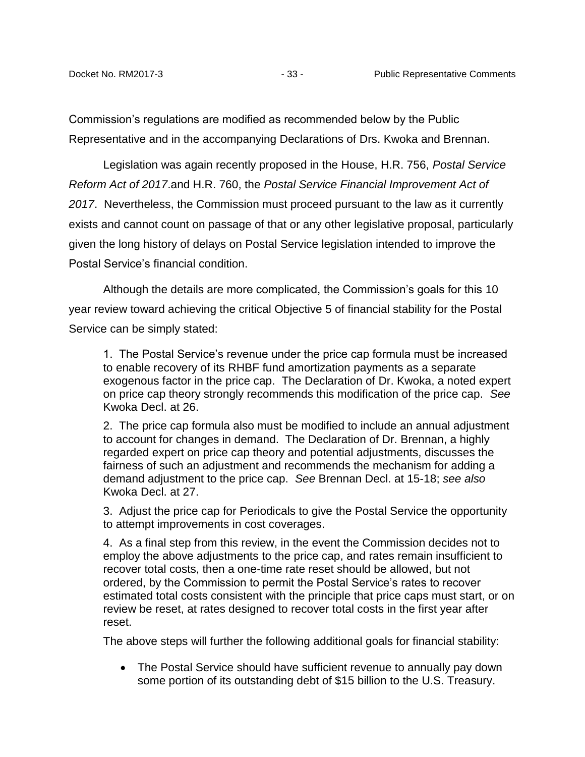Commission's regulations are modified as recommended below by the Public Representative and in the accompanying Declarations of Drs. Kwoka and Brennan.

Legislation was again recently proposed in the House, H.R. 756, *Postal Service Reform Act of 2017*.and H.R. 760, the *Postal Service Financial Improvement Act of 2017*. Nevertheless, the Commission must proceed pursuant to the law as it currently exists and cannot count on passage of that or any other legislative proposal, particularly given the long history of delays on Postal Service legislation intended to improve the Postal Service's financial condition.

Although the details are more complicated, the Commission's goals for this 10 year review toward achieving the critical Objective 5 of financial stability for the Postal Service can be simply stated:

1. The Postal Service's revenue under the price cap formula must be increased to enable recovery of its RHBF fund amortization payments as a separate exogenous factor in the price cap. The Declaration of Dr. Kwoka, a noted expert on price cap theory strongly recommends this modification of the price cap. *See* Kwoka Decl. at 26.

2. The price cap formula also must be modified to include an annual adjustment to account for changes in demand. The Declaration of Dr. Brennan, a highly regarded expert on price cap theory and potential adjustments, discusses the fairness of such an adjustment and recommends the mechanism for adding a demand adjustment to the price cap. *See* Brennan Decl. at 15-18; *see also* Kwoka Decl. at 27.

3. Adjust the price cap for Periodicals to give the Postal Service the opportunity to attempt improvements in cost coverages.

4. As a final step from this review, in the event the Commission decides not to employ the above adjustments to the price cap, and rates remain insufficient to recover total costs, then a one-time rate reset should be allowed, but not ordered, by the Commission to permit the Postal Service's rates to recover estimated total costs consistent with the principle that price caps must start, or on review be reset, at rates designed to recover total costs in the first year after reset.

The above steps will further the following additional goals for financial stability:

• The Postal Service should have sufficient revenue to annually pay down some portion of its outstanding debt of \$15 billion to the U.S. Treasury.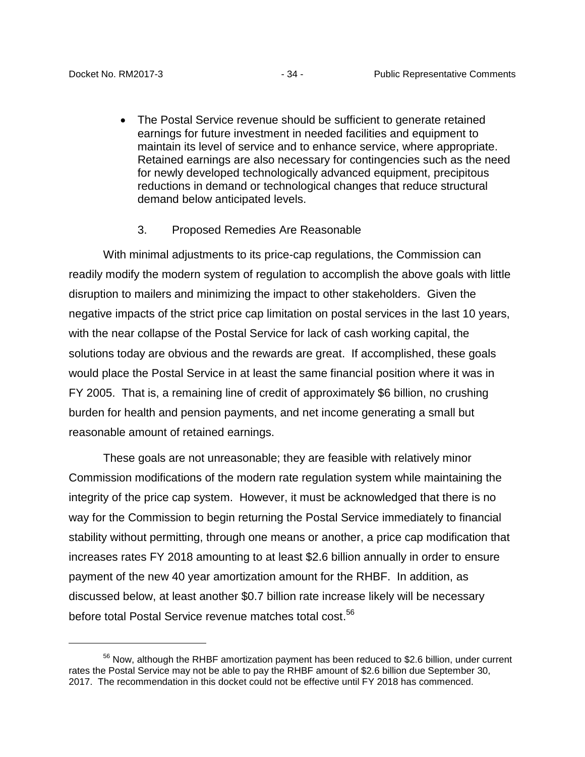• The Postal Service revenue should be sufficient to generate retained earnings for future investment in needed facilities and equipment to maintain its level of service and to enhance service, where appropriate. Retained earnings are also necessary for contingencies such as the need for newly developed technologically advanced equipment, precipitous reductions in demand or technological changes that reduce structural demand below anticipated levels.

### 3. Proposed Remedies Are Reasonable

<span id="page-36-0"></span>With minimal adjustments to its price-cap regulations, the Commission can readily modify the modern system of regulation to accomplish the above goals with little disruption to mailers and minimizing the impact to other stakeholders. Given the negative impacts of the strict price cap limitation on postal services in the last 10 years, with the near collapse of the Postal Service for lack of cash working capital, the solutions today are obvious and the rewards are great. If accomplished, these goals would place the Postal Service in at least the same financial position where it was in FY 2005. That is, a remaining line of credit of approximately \$6 billion, no crushing burden for health and pension payments, and net income generating a small but reasonable amount of retained earnings.

These goals are not unreasonable; they are feasible with relatively minor Commission modifications of the modern rate regulation system while maintaining the integrity of the price cap system. However, it must be acknowledged that there is no way for the Commission to begin returning the Postal Service immediately to financial stability without permitting, through one means or another, a price cap modification that increases rates FY 2018 amounting to at least \$2.6 billion annually in order to ensure payment of the new 40 year amortization amount for the RHBF. In addition, as discussed below, at least another \$0.7 billion rate increase likely will be necessary before total Postal Service revenue matches total cost. 56

 $56$  Now, although the RHBF amortization payment has been reduced to \$2.6 billion, under current rates the Postal Service may not be able to pay the RHBF amount of \$2.6 billion due September 30, 2017. The recommendation in this docket could not be effective until FY 2018 has commenced.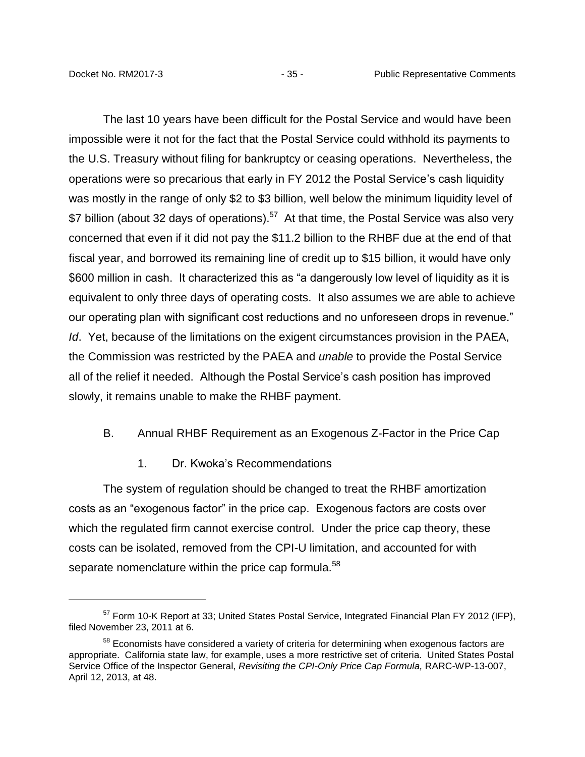The last 10 years have been difficult for the Postal Service and would have been impossible were it not for the fact that the Postal Service could withhold its payments to the U.S. Treasury without filing for bankruptcy or ceasing operations. Nevertheless, the operations were so precarious that early in FY 2012 the Postal Service's cash liquidity was mostly in the range of only \$2 to \$3 billion, well below the minimum liquidity level of \$7 billion (about 32 days of operations).<sup>57</sup> At that time, the Postal Service was also very concerned that even if it did not pay the \$11.2 billion to the RHBF due at the end of that fiscal year, and borrowed its remaining line of credit up to \$15 billion, it would have only \$600 million in cash. It characterized this as "a dangerously low level of liquidity as it is equivalent to only three days of operating costs. It also assumes we are able to achieve our operating plan with significant cost reductions and no unforeseen drops in revenue." *Id*. Yet, because of the limitations on the exigent circumstances provision in the PAEA, the Commission was restricted by the PAEA and *unable* to provide the Postal Service all of the relief it needed. Although the Postal Service's cash position has improved slowly, it remains unable to make the RHBF payment.

#### <span id="page-37-0"></span>B. Annual RHBF Requirement as an Exogenous Z-Factor in the Price Cap

1. Dr. Kwoka's Recommendations

<span id="page-37-1"></span>The system of regulation should be changed to treat the RHBF amortization costs as an "exogenous factor" in the price cap. Exogenous factors are costs over which the regulated firm cannot exercise control. Under the price cap theory, these costs can be isolated, removed from the CPI-U limitation, and accounted for with separate nomenclature within the price cap formula.<sup>58</sup>

<sup>&</sup>lt;sup>57</sup> Form 10-K Report at 33; United States Postal Service, Integrated Financial Plan FY 2012 (IFP), filed November 23, 2011 at 6.

<sup>&</sup>lt;sup>58</sup> Economists have considered a variety of criteria for determining when exogenous factors are appropriate. California state law, for example, uses a more restrictive set of criteria. United States Postal Service Office of the Inspector General, *Revisiting the CPI-Only Price Cap Formula,* RARC-WP-13-007, April 12, 2013, at 48.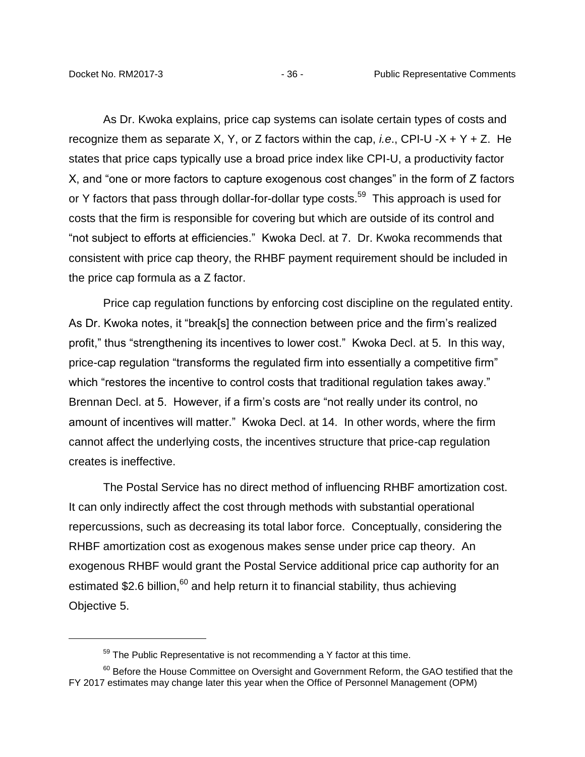As Dr. Kwoka explains, price cap systems can isolate certain types of costs and recognize them as separate X, Y, or Z factors within the cap, *i.e*., CPI-U -X + Y + Z. He states that price caps typically use a broad price index like CPI-U, a productivity factor X, and "one or more factors to capture exogenous cost changes" in the form of Z factors or Y factors that pass through dollar-for-dollar type costs.<sup>59</sup> This approach is used for costs that the firm is responsible for covering but which are outside of its control and "not subject to efforts at efficiencies." Kwoka Decl. at 7. Dr. Kwoka recommends that consistent with price cap theory, the RHBF payment requirement should be included in the price cap formula as a Z factor.

Price cap regulation functions by enforcing cost discipline on the regulated entity. As Dr. Kwoka notes, it "break[s] the connection between price and the firm's realized profit," thus "strengthening its incentives to lower cost." Kwoka Decl. at 5. In this way, price-cap regulation "transforms the regulated firm into essentially a competitive firm" which "restores the incentive to control costs that traditional regulation takes away." Brennan Decl. at 5. However, if a firm's costs are "not really under its control, no amount of incentives will matter." Kwoka Decl. at 14. In other words, where the firm cannot affect the underlying costs, the incentives structure that price-cap regulation creates is ineffective.

The Postal Service has no direct method of influencing RHBF amortization cost. It can only indirectly affect the cost through methods with substantial operational repercussions, such as decreasing its total labor force. Conceptually, considering the RHBF amortization cost as exogenous makes sense under price cap theory. An exogenous RHBF would grant the Postal Service additional price cap authority for an estimated \$2.6 billion, $60$  and help return it to financial stability, thus achieving Objective 5.

 $59$  The Public Representative is not recommending a Y factor at this time.

<sup>&</sup>lt;sup>60</sup> Before the House Committee on Oversight and Government Reform, the GAO testified that the FY 2017 estimates may change later this year when the Office of Personnel Management (OPM)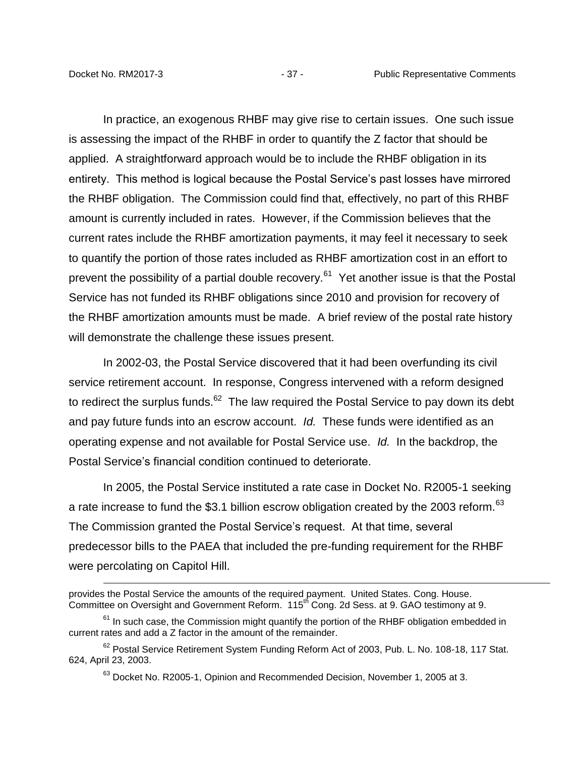In practice, an exogenous RHBF may give rise to certain issues. One such issue is assessing the impact of the RHBF in order to quantify the Z factor that should be applied. A straightforward approach would be to include the RHBF obligation in its entirety. This method is logical because the Postal Service's past losses have mirrored the RHBF obligation. The Commission could find that, effectively, no part of this RHBF amount is currently included in rates. However, if the Commission believes that the current rates include the RHBF amortization payments, it may feel it necessary to seek to quantify the portion of those rates included as RHBF amortization cost in an effort to prevent the possibility of a partial double recovery.<sup>61</sup> Yet another issue is that the Postal Service has not funded its RHBF obligations since 2010 and provision for recovery of the RHBF amortization amounts must be made. A brief review of the postal rate history will demonstrate the challenge these issues present.

In 2002-03, the Postal Service discovered that it had been overfunding its civil service retirement account. In response, Congress intervened with a reform designed to redirect the surplus funds. $62$  The law required the Postal Service to pay down its debt and pay future funds into an escrow account. *Id.* These funds were identified as an operating expense and not available for Postal Service use. *Id.* In the backdrop, the Postal Service's financial condition continued to deteriorate.

In 2005, the Postal Service instituted a rate case in Docket No. R2005-1 seeking a rate increase to fund the \$3.1 billion escrow obligation created by the 2003 reform.<sup>63</sup> The Commission granted the Postal Service's request. At that time, several predecessor bills to the PAEA that included the pre-funding requirement for the RHBF were percolating on Capitol Hill.

provides the Postal Service the amounts of the required payment. United States. Cong. House. Committee on Oversight and Government Reform. 115<sup>th</sup> Cong. 2d Sess. at 9. GAO testimony at 9.

 $61$  In such case, the Commission might quantify the portion of the RHBF obligation embedded in current rates and add a Z factor in the amount of the remainder.

<sup>&</sup>lt;sup>62</sup> Postal Service Retirement System Funding Reform Act of 2003, Pub. L. No. 108-18, 117 Stat. 624, April 23, 2003.

<sup>&</sup>lt;sup>63</sup> Docket No. R2005-1, Opinion and Recommended Decision, November 1, 2005 at 3.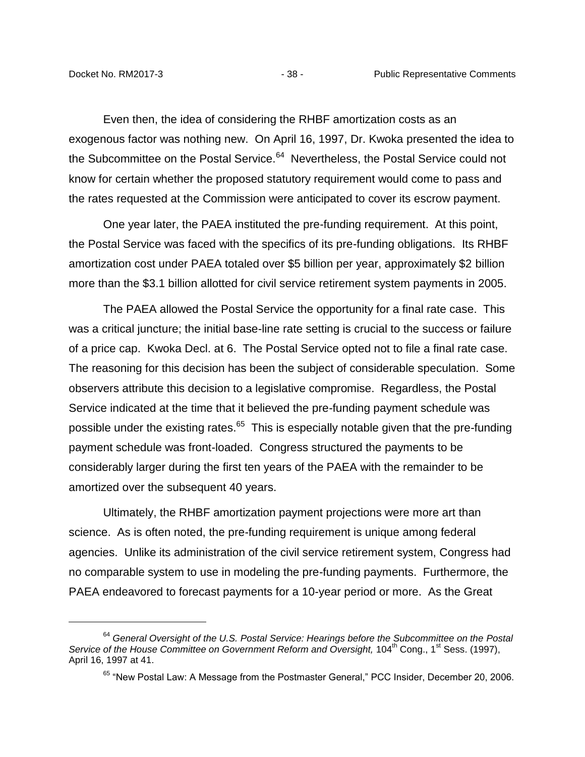Even then, the idea of considering the RHBF amortization costs as an exogenous factor was nothing new. On April 16, 1997, Dr. Kwoka presented the idea to the Subcommittee on the Postal Service.<sup>64</sup> Nevertheless, the Postal Service could not know for certain whether the proposed statutory requirement would come to pass and the rates requested at the Commission were anticipated to cover its escrow payment.

One year later, the PAEA instituted the pre-funding requirement. At this point, the Postal Service was faced with the specifics of its pre-funding obligations. Its RHBF amortization cost under PAEA totaled over \$5 billion per year, approximately \$2 billion more than the \$3.1 billion allotted for civil service retirement system payments in 2005.

The PAEA allowed the Postal Service the opportunity for a final rate case. This was a critical juncture; the initial base-line rate setting is crucial to the success or failure of a price cap. Kwoka Decl. at 6. The Postal Service opted not to file a final rate case. The reasoning for this decision has been the subject of considerable speculation. Some observers attribute this decision to a legislative compromise. Regardless, the Postal Service indicated at the time that it believed the pre-funding payment schedule was possible under the existing rates.<sup>65</sup> This is especially notable given that the pre-funding payment schedule was front-loaded. Congress structured the payments to be considerably larger during the first ten years of the PAEA with the remainder to be amortized over the subsequent 40 years.

Ultimately, the RHBF amortization payment projections were more art than science. As is often noted, the pre-funding requirement is unique among federal agencies. Unlike its administration of the civil service retirement system, Congress had no comparable system to use in modeling the pre-funding payments. Furthermore, the PAEA endeavored to forecast payments for a 10-year period or more. As the Great

<sup>64</sup> *General Oversight of the U.S. Postal Service: Hearings before the Subcommittee on the Postal*  Service of the House Committee on Government Reform and Oversight, 104<sup>th</sup> Cong., 1<sup>st</sup> Sess. (1997), April 16, 1997 at 41.

<sup>&</sup>lt;sup>65</sup> "New Postal Law: A Message from the Postmaster General," PCC Insider, December 20, 2006.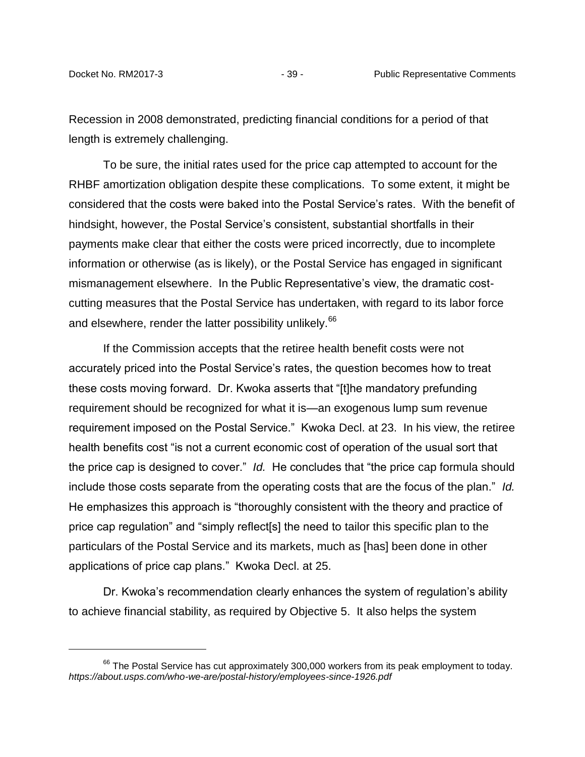Recession in 2008 demonstrated, predicting financial conditions for a period of that length is extremely challenging.

To be sure, the initial rates used for the price cap attempted to account for the RHBF amortization obligation despite these complications. To some extent, it might be considered that the costs were baked into the Postal Service's rates. With the benefit of hindsight, however, the Postal Service's consistent, substantial shortfalls in their payments make clear that either the costs were priced incorrectly, due to incomplete information or otherwise (as is likely), or the Postal Service has engaged in significant mismanagement elsewhere. In the Public Representative's view, the dramatic costcutting measures that the Postal Service has undertaken, with regard to its labor force and elsewhere, render the latter possibility unlikely.<sup>66</sup>

If the Commission accepts that the retiree health benefit costs were not accurately priced into the Postal Service's rates, the question becomes how to treat these costs moving forward. Dr. Kwoka asserts that "[t]he mandatory prefunding requirement should be recognized for what it is—an exogenous lump sum revenue requirement imposed on the Postal Service." Kwoka Decl. at 23. In his view, the retiree health benefits cost "is not a current economic cost of operation of the usual sort that the price cap is designed to cover." *Id.* He concludes that "the price cap formula should include those costs separate from the operating costs that are the focus of the plan." *Id.* He emphasizes this approach is "thoroughly consistent with the theory and practice of price cap regulation" and "simply reflect[s] the need to tailor this specific plan to the particulars of the Postal Service and its markets, much as [has] been done in other applications of price cap plans." Kwoka Decl. at 25.

Dr. Kwoka's recommendation clearly enhances the system of regulation's ability to achieve financial stability, as required by Objective 5. It also helps the system

 $66$  The Postal Service has cut approximately 300,000 workers from its peak employment to today. *https://about.usps.com/who-we-are/postal-history/employees-since-1926.pdf*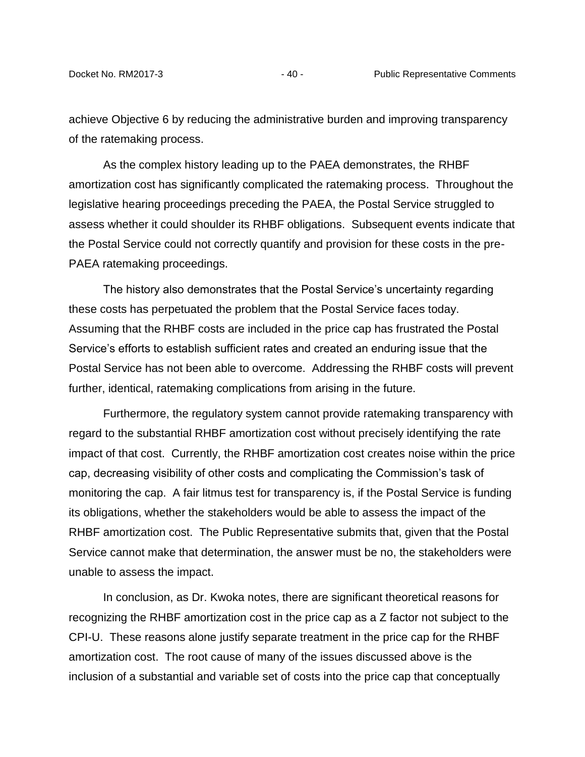achieve Objective 6 by reducing the administrative burden and improving transparency of the ratemaking process.

As the complex history leading up to the PAEA demonstrates, the RHBF amortization cost has significantly complicated the ratemaking process. Throughout the legislative hearing proceedings preceding the PAEA, the Postal Service struggled to assess whether it could shoulder its RHBF obligations. Subsequent events indicate that the Postal Service could not correctly quantify and provision for these costs in the pre-PAEA ratemaking proceedings.

The history also demonstrates that the Postal Service's uncertainty regarding these costs has perpetuated the problem that the Postal Service faces today. Assuming that the RHBF costs are included in the price cap has frustrated the Postal Service's efforts to establish sufficient rates and created an enduring issue that the Postal Service has not been able to overcome. Addressing the RHBF costs will prevent further, identical, ratemaking complications from arising in the future.

Furthermore, the regulatory system cannot provide ratemaking transparency with regard to the substantial RHBF amortization cost without precisely identifying the rate impact of that cost. Currently, the RHBF amortization cost creates noise within the price cap, decreasing visibility of other costs and complicating the Commission's task of monitoring the cap. A fair litmus test for transparency is, if the Postal Service is funding its obligations, whether the stakeholders would be able to assess the impact of the RHBF amortization cost. The Public Representative submits that, given that the Postal Service cannot make that determination, the answer must be no, the stakeholders were unable to assess the impact.

In conclusion, as Dr. Kwoka notes, there are significant theoretical reasons for recognizing the RHBF amortization cost in the price cap as a Z factor not subject to the CPI-U. These reasons alone justify separate treatment in the price cap for the RHBF amortization cost. The root cause of many of the issues discussed above is the inclusion of a substantial and variable set of costs into the price cap that conceptually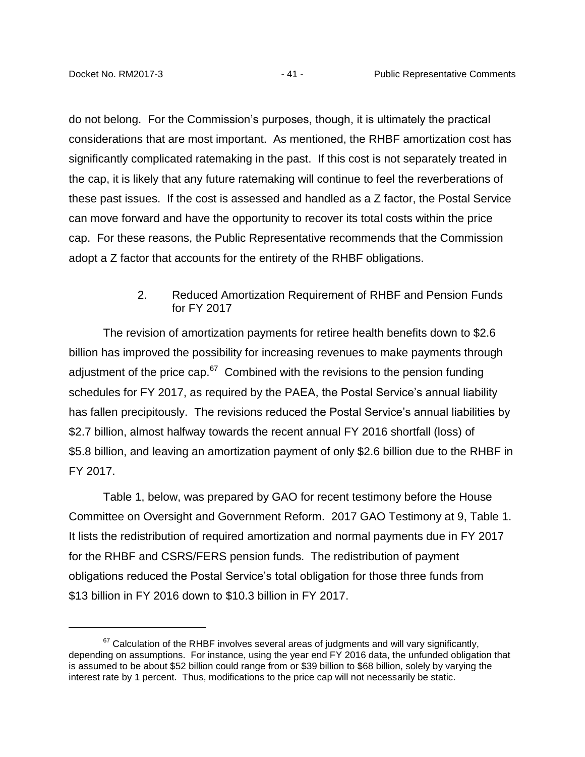do not belong. For the Commission's purposes, though, it is ultimately the practical considerations that are most important. As mentioned, the RHBF amortization cost has significantly complicated ratemaking in the past. If this cost is not separately treated in the cap, it is likely that any future ratemaking will continue to feel the reverberations of these past issues. If the cost is assessed and handled as a Z factor, the Postal Service can move forward and have the opportunity to recover its total costs within the price cap. For these reasons, the Public Representative recommends that the Commission adopt a Z factor that accounts for the entirety of the RHBF obligations.

### 2. Reduced Amortization Requirement of RHBF and Pension Funds for FY 2017

<span id="page-43-0"></span>The revision of amortization payments for retiree health benefits down to \$2.6 billion has improved the possibility for increasing revenues to make payments through adjustment of the price cap.<sup>67</sup> Combined with the revisions to the pension funding schedules for FY 2017, as required by the PAEA, the Postal Service's annual liability has fallen precipitously. The revisions reduced the Postal Service's annual liabilities by \$2.7 billion, almost halfway towards the recent annual FY 2016 shortfall (loss) of \$5.8 billion, and leaving an amortization payment of only \$2.6 billion due to the RHBF in FY 2017.

Table 1, below, was prepared by GAO for recent testimony before the House Committee on Oversight and Government Reform. 2017 GAO Testimony at 9, Table 1. It lists the redistribution of required amortization and normal payments due in FY 2017 for the RHBF and CSRS/FERS pension funds. The redistribution of payment obligations reduced the Postal Service's total obligation for those three funds from \$13 billion in FY 2016 down to \$10.3 billion in FY 2017.

 $67$  Calculation of the RHBF involves several areas of judgments and will vary significantly, depending on assumptions. For instance, using the year end FY 2016 data, the unfunded obligation that is assumed to be about \$52 billion could range from or \$39 billion to \$68 billion, solely by varying the interest rate by 1 percent. Thus, modifications to the price cap will not necessarily be static.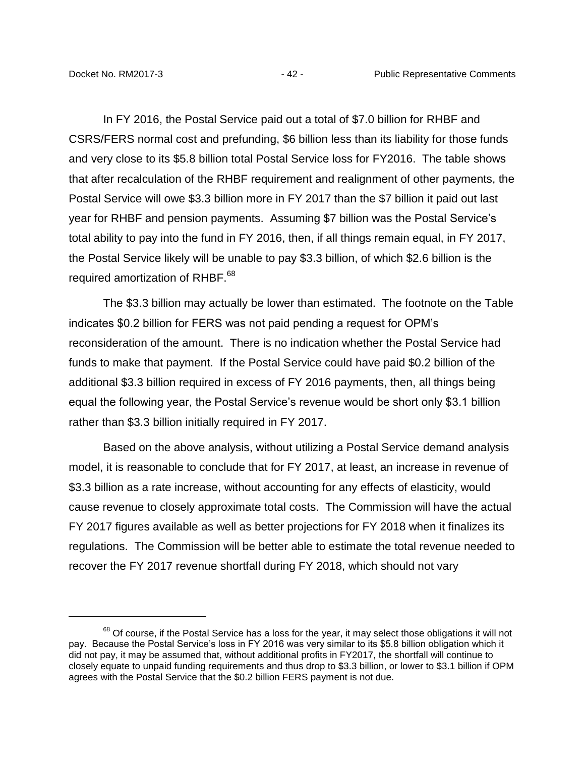In FY 2016, the Postal Service paid out a total of \$7.0 billion for RHBF and CSRS/FERS normal cost and prefunding, \$6 billion less than its liability for those funds and very close to its \$5.8 billion total Postal Service loss for FY2016. The table shows that after recalculation of the RHBF requirement and realignment of other payments, the Postal Service will owe \$3.3 billion more in FY 2017 than the \$7 billion it paid out last year for RHBF and pension payments. Assuming \$7 billion was the Postal Service's total ability to pay into the fund in FY 2016, then, if all things remain equal, in FY 2017, the Postal Service likely will be unable to pay \$3.3 billion, of which \$2.6 billion is the required amortization of RHBF.<sup>68</sup>

The \$3.3 billion may actually be lower than estimated. The footnote on the Table indicates \$0.2 billion for FERS was not paid pending a request for OPM's reconsideration of the amount. There is no indication whether the Postal Service had funds to make that payment. If the Postal Service could have paid \$0.2 billion of the additional \$3.3 billion required in excess of FY 2016 payments, then, all things being equal the following year, the Postal Service's revenue would be short only \$3.1 billion rather than \$3.3 billion initially required in FY 2017.

Based on the above analysis, without utilizing a Postal Service demand analysis model, it is reasonable to conclude that for FY 2017, at least, an increase in revenue of \$3.3 billion as a rate increase, without accounting for any effects of elasticity, would cause revenue to closely approximate total costs. The Commission will have the actual FY 2017 figures available as well as better projections for FY 2018 when it finalizes its regulations. The Commission will be better able to estimate the total revenue needed to recover the FY 2017 revenue shortfall during FY 2018, which should not vary

<sup>&</sup>lt;sup>68</sup> Of course, if the Postal Service has a loss for the year, it may select those obligations it will not pay. Because the Postal Service's loss in FY 2016 was very similar to its \$5.8 billion obligation which it did not pay, it may be assumed that, without additional profits in FY2017, the shortfall will continue to closely equate to unpaid funding requirements and thus drop to \$3.3 billion, or lower to \$3.1 billion if OPM agrees with the Postal Service that the \$0.2 billion FERS payment is not due.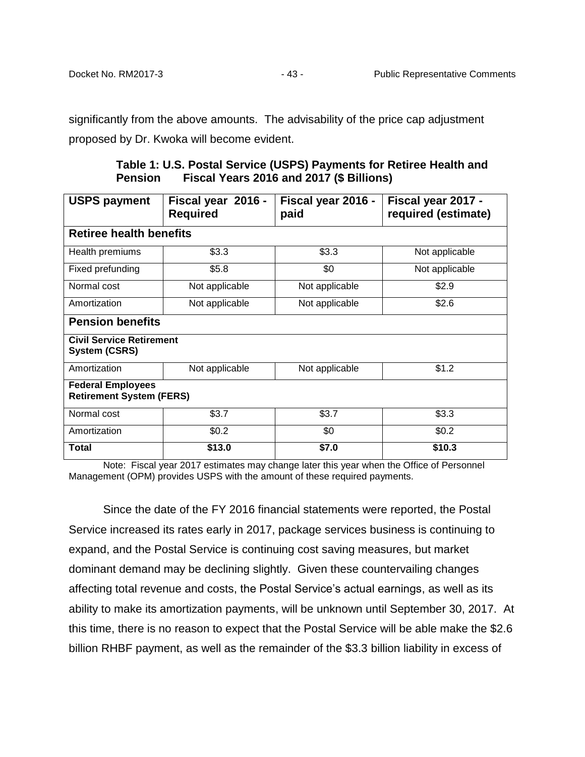significantly from the above amounts. The advisability of the price cap adjustment proposed by Dr. Kwoka will become evident.

**Table 1: U.S. Postal Service (USPS) Payments for Retiree Health and Pension Fiscal Years 2016 and 2017 (\$ Billions)**

| <b>USPS payment</b>                                         | Fiscal year 2016 -<br><b>Required</b> | Fiscal year 2016 -<br>paid | Fiscal year 2017 -<br>required (estimate) |  |  |  |
|-------------------------------------------------------------|---------------------------------------|----------------------------|-------------------------------------------|--|--|--|
| <b>Retiree health benefits</b>                              |                                       |                            |                                           |  |  |  |
| Health premiums                                             | \$3.3                                 | \$3.3                      | Not applicable                            |  |  |  |
| Fixed prefunding                                            | \$5.8                                 | \$0                        | Not applicable                            |  |  |  |
| Normal cost                                                 | Not applicable                        | Not applicable             | \$2.9                                     |  |  |  |
| Amortization                                                | Not applicable                        | Not applicable             | \$2.6                                     |  |  |  |
| <b>Pension benefits</b>                                     |                                       |                            |                                           |  |  |  |
| <b>Civil Service Retirement</b><br><b>System (CSRS)</b>     |                                       |                            |                                           |  |  |  |
| Amortization                                                | Not applicable                        | Not applicable             | \$1.2                                     |  |  |  |
| <b>Federal Employees</b><br><b>Retirement System (FERS)</b> |                                       |                            |                                           |  |  |  |
| Normal cost                                                 | \$3.7                                 | \$3.7                      | \$3.3                                     |  |  |  |
| Amortization                                                | \$0.2                                 | \$0                        | \$0.2                                     |  |  |  |
| Total                                                       | \$13.0                                | \$7.0                      | \$10.3                                    |  |  |  |

Note: Fiscal year 2017 estimates may change later this year when the Office of Personnel Management (OPM) provides USPS with the amount of these required payments.

Since the date of the FY 2016 financial statements were reported, the Postal Service increased its rates early in 2017, package services business is continuing to expand, and the Postal Service is continuing cost saving measures, but market dominant demand may be declining slightly. Given these countervailing changes affecting total revenue and costs, the Postal Service's actual earnings, as well as its ability to make its amortization payments, will be unknown until September 30, 2017. At this time, there is no reason to expect that the Postal Service will be able make the \$2.6 billion RHBF payment, as well as the remainder of the \$3.3 billion liability in excess of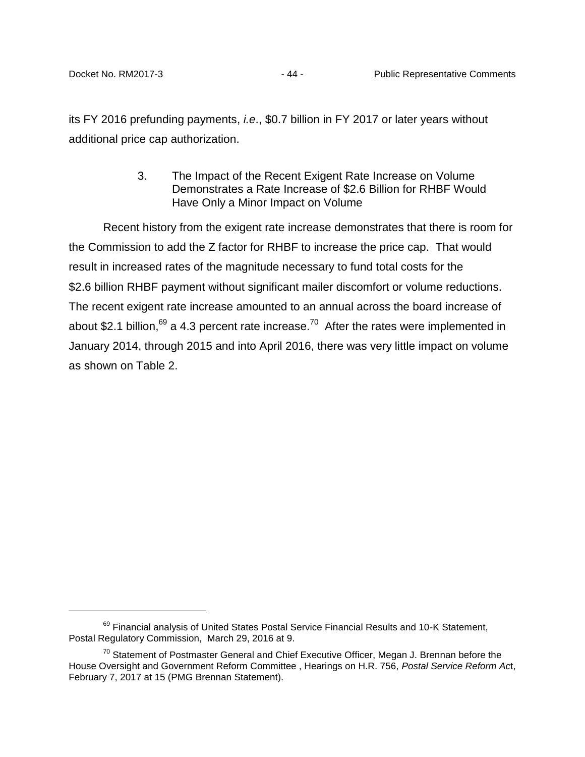<span id="page-46-0"></span>its FY 2016 prefunding payments, *i.e*., \$0.7 billion in FY 2017 or later years without additional price cap authorization.

> 3. The Impact of the Recent Exigent Rate Increase on Volume Demonstrates a Rate Increase of \$2.6 Billion for RHBF Would Have Only a Minor Impact on Volume

Recent history from the exigent rate increase demonstrates that there is room for the Commission to add the Z factor for RHBF to increase the price cap. That would result in increased rates of the magnitude necessary to fund total costs for the \$2.6 billion RHBF payment without significant mailer discomfort or volume reductions. The recent exigent rate increase amounted to an annual across the board increase of about \$2.1 billion,<sup>69</sup> a 4.3 percent rate increase.<sup>70</sup> After the rates were implemented in January 2014, through 2015 and into April 2016, there was very little impact on volume as shown on Table 2.

<sup>&</sup>lt;sup>69</sup> Financial analysis of United States Postal Service Financial Results and 10-K Statement, Postal Regulatory Commission, March 29, 2016 at 9.

 $70$  Statement of Postmaster General and Chief Executive Officer, Megan J. Brennan before the House Oversight and Government Reform Committee , Hearings on H.R. 756, *Postal Service Reform Ac*t, February 7, 2017 at 15 (PMG Brennan Statement).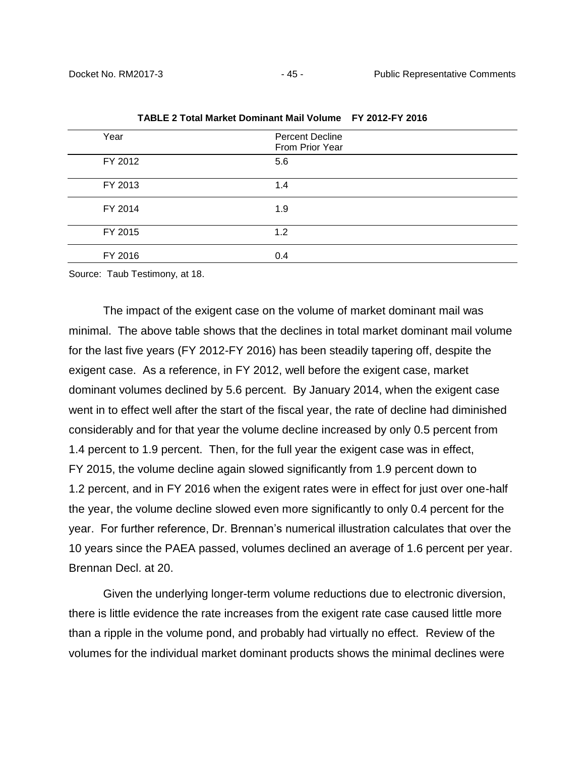| Year    | <b>Percent Decline</b><br>From Prior Year |  |
|---------|-------------------------------------------|--|
| FY 2012 | 5.6                                       |  |
| FY 2013 | 1.4                                       |  |
| FY 2014 | 1.9                                       |  |
| FY 2015 | 1.2                                       |  |
| FY 2016 | 0.4                                       |  |
|         |                                           |  |

**TABLE 2 Total Market Dominant Mail Volume FY 2012-FY 2016** 

Source: Taub Testimony, at 18.

The impact of the exigent case on the volume of market dominant mail was minimal. The above table shows that the declines in total market dominant mail volume for the last five years (FY 2012-FY 2016) has been steadily tapering off, despite the exigent case. As a reference, in FY 2012, well before the exigent case, market dominant volumes declined by 5.6 percent. By January 2014, when the exigent case went in to effect well after the start of the fiscal year, the rate of decline had diminished considerably and for that year the volume decline increased by only 0.5 percent from 1.4 percent to 1.9 percent. Then, for the full year the exigent case was in effect, FY 2015, the volume decline again slowed significantly from 1.9 percent down to 1.2 percent, and in FY 2016 when the exigent rates were in effect for just over one-half the year, the volume decline slowed even more significantly to only 0.4 percent for the year. For further reference, Dr. Brennan's numerical illustration calculates that over the 10 years since the PAEA passed, volumes declined an average of 1.6 percent per year. Brennan Decl. at 20.

Given the underlying longer-term volume reductions due to electronic diversion, there is little evidence the rate increases from the exigent rate case caused little more than a ripple in the volume pond, and probably had virtually no effect. Review of the volumes for the individual market dominant products shows the minimal declines were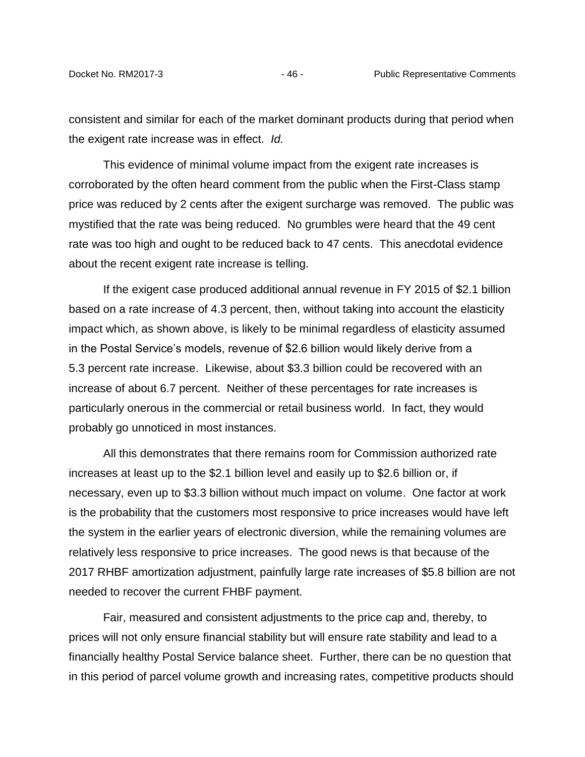consistent and similar for each of the market dominant products during that period when the exigent rate increase was in effect. *Id.*

This evidence of minimal volume impact from the exigent rate increases is corroborated by the often heard comment from the public when the First-Class stamp price was reduced by 2 cents after the exigent surcharge was removed. The public was mystified that the rate was being reduced. No grumbles were heard that the 49 cent rate was too high and ought to be reduced back to 47 cents. This anecdotal evidence about the recent exigent rate increase is telling.

If the exigent case produced additional annual revenue in FY 2015 of \$2.1 billion based on a rate increase of 4.3 percent, then, without taking into account the elasticity impact which, as shown above, is likely to be minimal regardless of elasticity assumed in the Postal Service's models, revenue of \$2.6 billion would likely derive from a 5.3 percent rate increase. Likewise, about \$3.3 billion could be recovered with an increase of about 6.7 percent. Neither of these percentages for rate increases is particularly onerous in the commercial or retail business world. In fact, they would probably go unnoticed in most instances.

All this demonstrates that there remains room for Commission authorized rate increases at least up to the \$2.1 billion level and easily up to \$2.6 billion or, if necessary, even up to \$3.3 billion without much impact on volume. One factor at work is the probability that the customers most responsive to price increases would have left the system in the earlier years of electronic diversion, while the remaining volumes are relatively less responsive to price increases. The good news is that because of the 2017 RHBF amortization adjustment, painfully large rate increases of \$5.8 billion are not needed to recover the current FHBF payment.

Fair, measured and consistent adjustments to the price cap and, thereby, to prices will not only ensure financial stability but will ensure rate stability and lead to a financially healthy Postal Service balance sheet. Further, there can be no question that in this period of parcel volume growth and increasing rates, competitive products should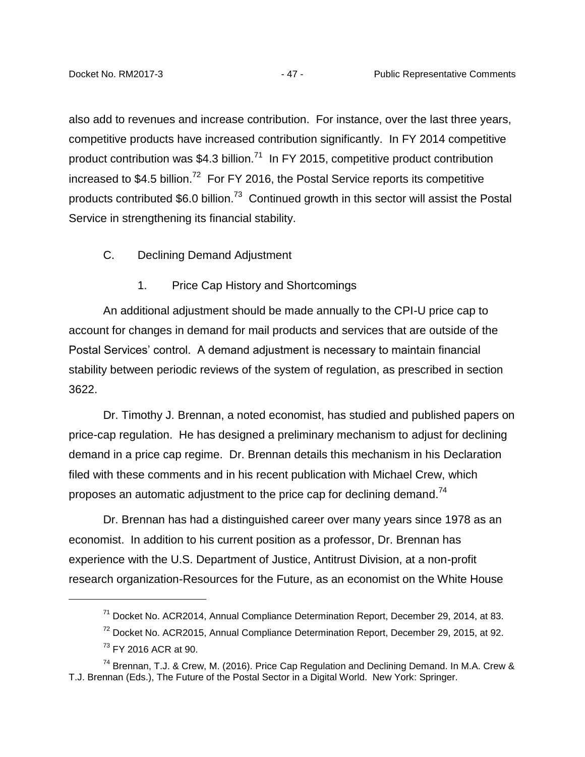also add to revenues and increase contribution. For instance, over the last three years, competitive products have increased contribution significantly. In FY 2014 competitive product contribution was \$4.3 billion.<sup>71</sup> In FY 2015, competitive product contribution increased to \$4.5 billion.<sup>72</sup> For FY 2016, the Postal Service reports its competitive products contributed \$6.0 billion.<sup>73</sup> Continued growth in this sector will assist the Postal Service in strengthening its financial stability.

- <span id="page-49-0"></span>C. Declining Demand Adjustment
	- 1. Price Cap History and Shortcomings

<span id="page-49-1"></span>An additional adjustment should be made annually to the CPI-U price cap to account for changes in demand for mail products and services that are outside of the Postal Services' control. A demand adjustment is necessary to maintain financial stability between periodic reviews of the system of regulation, as prescribed in section 3622.

Dr. Timothy J. Brennan, a noted economist, has studied and published papers on price-cap regulation. He has designed a preliminary mechanism to adjust for declining demand in a price cap regime. Dr. Brennan details this mechanism in his Declaration filed with these comments and in his recent publication with Michael Crew, which proposes an automatic adjustment to the price cap for declining demand.<sup>74</sup>

Dr. Brennan has had a distinguished career over many years since 1978 as an economist. In addition to his current position as a professor, Dr. Brennan has experience with the U.S. Department of Justice, Antitrust Division, at a non-profit research organization-Resources for the Future, as an economist on the White House

 $\overline{a}$ 

 $71$  Docket No. ACR2014, Annual Compliance Determination Report, December 29, 2014, at 83.

 $72$  Docket No. ACR2015, Annual Compliance Determination Report, December 29, 2015, at 92.

<sup>&</sup>lt;sup>73</sup> FY 2016 ACR at 90.

<sup>&</sup>lt;sup>74</sup> Brennan, T.J. & Crew, M. (2016). Price Cap Regulation and Declining Demand. In M.A. Crew & T.J. Brennan (Eds.), The Future of the Postal Sector in a Digital World. New York: Springer.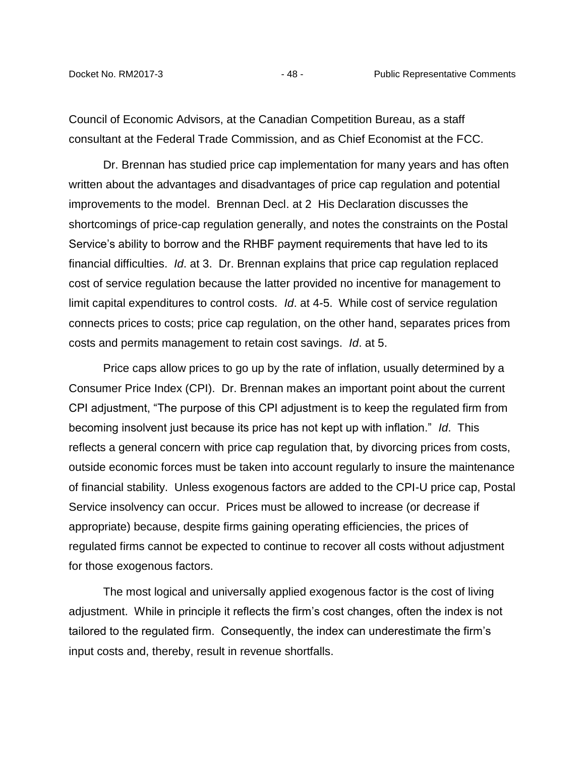Council of Economic Advisors, at the Canadian Competition Bureau, as a staff consultant at the Federal Trade Commission, and as Chief Economist at the FCC.

Dr. Brennan has studied price cap implementation for many years and has often written about the advantages and disadvantages of price cap regulation and potential improvements to the model. Brennan Decl. at 2 His Declaration discusses the shortcomings of price-cap regulation generally, and notes the constraints on the Postal Service's ability to borrow and the RHBF payment requirements that have led to its financial difficulties. *Id*. at 3. Dr. Brennan explains that price cap regulation replaced cost of service regulation because the latter provided no incentive for management to limit capital expenditures to control costs. *Id*. at 4-5. While cost of service regulation connects prices to costs; price cap regulation, on the other hand, separates prices from costs and permits management to retain cost savings. *Id*. at 5.

Price caps allow prices to go up by the rate of inflation, usually determined by a Consumer Price Index (CPI). Dr. Brennan makes an important point about the current CPI adjustment, "The purpose of this CPI adjustment is to keep the regulated firm from becoming insolvent just because its price has not kept up with inflation." *Id*. This reflects a general concern with price cap regulation that, by divorcing prices from costs, outside economic forces must be taken into account regularly to insure the maintenance of financial stability. Unless exogenous factors are added to the CPI-U price cap, Postal Service insolvency can occur. Prices must be allowed to increase (or decrease if appropriate) because, despite firms gaining operating efficiencies, the prices of regulated firms cannot be expected to continue to recover all costs without adjustment for those exogenous factors.

The most logical and universally applied exogenous factor is the cost of living adjustment. While in principle it reflects the firm's cost changes, often the index is not tailored to the regulated firm. Consequently, the index can underestimate the firm's input costs and, thereby, result in revenue shortfalls.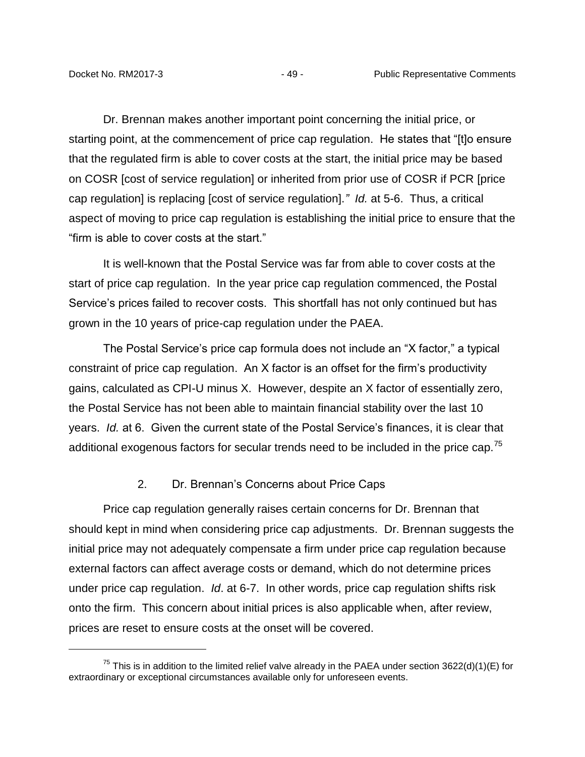Dr. Brennan makes another important point concerning the initial price, or starting point, at the commencement of price cap regulation. He states that "[t]o ensure that the regulated firm is able to cover costs at the start, the initial price may be based on COSR [cost of service regulation] or inherited from prior use of COSR if PCR [price cap regulation] is replacing [cost of service regulation].*" Id.* at 5-6. Thus, a critical aspect of moving to price cap regulation is establishing the initial price to ensure that the "firm is able to cover costs at the start."

It is well-known that the Postal Service was far from able to cover costs at the start of price cap regulation. In the year price cap regulation commenced, the Postal Service's prices failed to recover costs. This shortfall has not only continued but has grown in the 10 years of price-cap regulation under the PAEA.

The Postal Service's price cap formula does not include an "X factor," a typical constraint of price cap regulation. An X factor is an offset for the firm's productivity gains, calculated as CPI-U minus X. However, despite an X factor of essentially zero, the Postal Service has not been able to maintain financial stability over the last 10 years. *Id.* at 6. Given the current state of the Postal Service's finances, it is clear that additional exogenous factors for secular trends need to be included in the price cap.<sup>75</sup>

#### 2. Dr. Brennan's Concerns about Price Caps

<span id="page-51-0"></span>Price cap regulation generally raises certain concerns for Dr. Brennan that should kept in mind when considering price cap adjustments. Dr. Brennan suggests the initial price may not adequately compensate a firm under price cap regulation because external factors can affect average costs or demand, which do not determine prices under price cap regulation. *Id*. at 6-7. In other words, price cap regulation shifts risk onto the firm. This concern about initial prices is also applicable when, after review, prices are reset to ensure costs at the onset will be covered.

<sup>&</sup>lt;sup>75</sup> This is in addition to the limited relief valve already in the PAEA under section 3622(d)(1)(E) for extraordinary or exceptional circumstances available only for unforeseen events.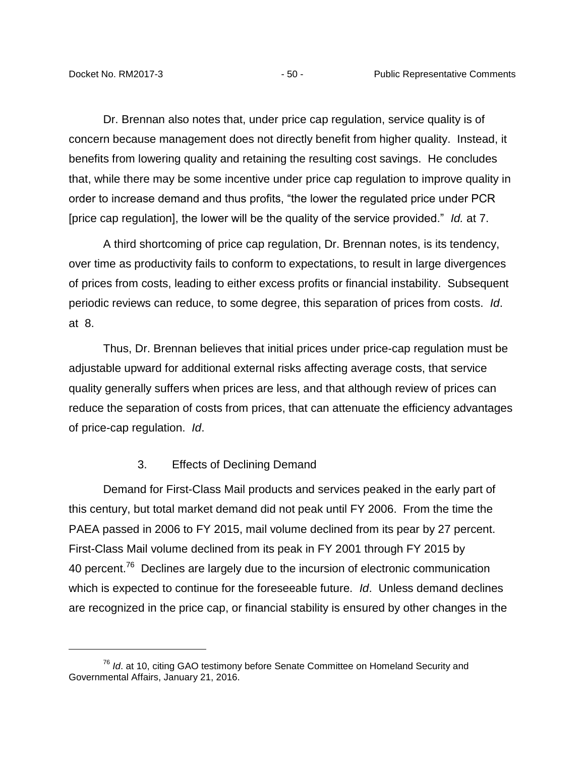Dr. Brennan also notes that, under price cap regulation, service quality is of concern because management does not directly benefit from higher quality. Instead, it benefits from lowering quality and retaining the resulting cost savings. He concludes that, while there may be some incentive under price cap regulation to improve quality in order to increase demand and thus profits, "the lower the regulated price under PCR [price cap regulation], the lower will be the quality of the service provided." *Id.* at 7.

A third shortcoming of price cap regulation, Dr. Brennan notes, is its tendency, over time as productivity fails to conform to expectations, to result in large divergences of prices from costs, leading to either excess profits or financial instability. Subsequent periodic reviews can reduce, to some degree, this separation of prices from costs. *Id*. at 8.

Thus, Dr. Brennan believes that initial prices under price-cap regulation must be adjustable upward for additional external risks affecting average costs, that service quality generally suffers when prices are less, and that although review of prices can reduce the separation of costs from prices, that can attenuate the efficiency advantages of price-cap regulation. *Id*.

#### 3. Effects of Declining Demand

<span id="page-52-0"></span>Demand for First-Class Mail products and services peaked in the early part of this century, but total market demand did not peak until FY 2006. From the time the PAEA passed in 2006 to FY 2015, mail volume declined from its pear by 27 percent. First-Class Mail volume declined from its peak in FY 2001 through FY 2015 by 40 percent.<sup>76</sup> Declines are largely due to the incursion of electronic communication which is expected to continue for the foreseeable future. *Id*. Unless demand declines are recognized in the price cap, or financial stability is ensured by other changes in the

<sup>76</sup> *Id*. at 10, citing GAO testimony before Senate Committee on Homeland Security and Governmental Affairs, January 21, 2016.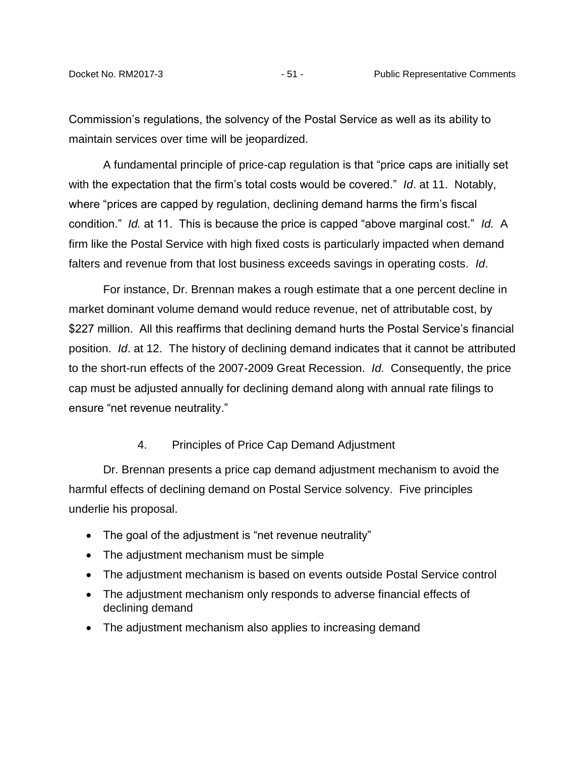Commission's regulations, the solvency of the Postal Service as well as its ability to maintain services over time will be jeopardized.

A fundamental principle of price-cap regulation is that "price caps are initially set with the expectation that the firm's total costs would be covered." *Id*. at 11. Notably, where "prices are capped by regulation, declining demand harms the firm's fiscal condition." *Id.* at 11. This is because the price is capped "above marginal cost." *Id.* A firm like the Postal Service with high fixed costs is particularly impacted when demand falters and revenue from that lost business exceeds savings in operating costs. *Id*.

For instance, Dr. Brennan makes a rough estimate that a one percent decline in market dominant volume demand would reduce revenue, net of attributable cost, by \$227 million. All this reaffirms that declining demand hurts the Postal Service's financial position. *Id*. at 12. The history of declining demand indicates that it cannot be attributed to the short-run effects of the 2007-2009 Great Recession. *Id.* Consequently, the price cap must be adjusted annually for declining demand along with annual rate filings to ensure "net revenue neutrality."

#### 4. Principles of Price Cap Demand Adjustment

<span id="page-53-0"></span>Dr. Brennan presents a price cap demand adjustment mechanism to avoid the harmful effects of declining demand on Postal Service solvency. Five principles underlie his proposal.

- The goal of the adjustment is "net revenue neutrality"
- The adjustment mechanism must be simple
- The adjustment mechanism is based on events outside Postal Service control
- The adjustment mechanism only responds to adverse financial effects of declining demand
- The adjustment mechanism also applies to increasing demand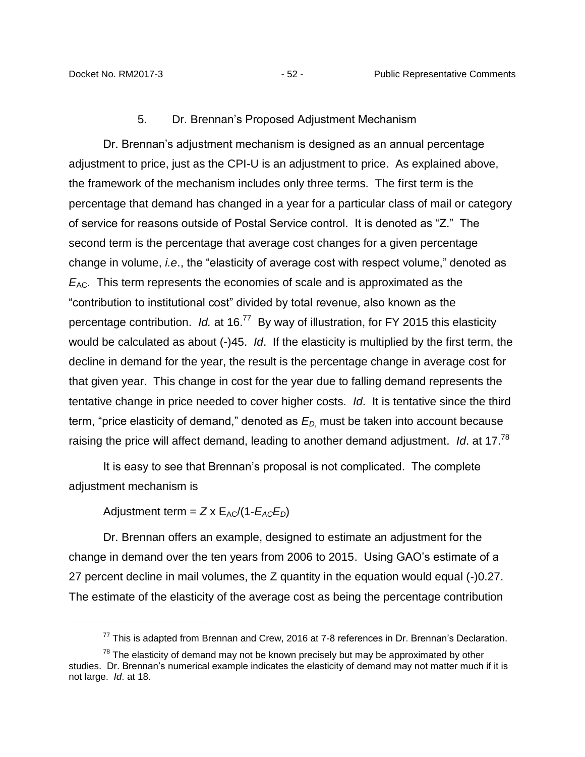#### 5. Dr. Brennan's Proposed Adjustment Mechanism

<span id="page-54-0"></span>Dr. Brennan's adjustment mechanism is designed as an annual percentage adjustment to price, just as the CPI-U is an adjustment to price. As explained above, the framework of the mechanism includes only three terms. The first term is the percentage that demand has changed in a year for a particular class of mail or category of service for reasons outside of Postal Service control. It is denoted as "Z." The second term is the percentage that average cost changes for a given percentage change in volume, *i.e*., the "elasticity of average cost with respect volume," denoted as *E*<sub>AC</sub>. This term represents the economies of scale and is approximated as the "contribution to institutional cost" divided by total revenue, also known as the percentage contribution. *Id.* at 16.<sup>77</sup> By way of illustration, for FY 2015 this elasticity would be calculated as about (-)45. *Id*. If the elasticity is multiplied by the first term, the decline in demand for the year, the result is the percentage change in average cost for that given year. This change in cost for the year due to falling demand represents the tentative change in price needed to cover higher costs. *Id*. It is tentative since the third term, "price elasticity of demand," denoted as *E<sup>D</sup>*, must be taken into account because raising the price will affect demand, leading to another demand adjustment. *Id*. at 17.<sup>78</sup>

It is easy to see that Brennan's proposal is not complicated. The complete adjustment mechanism is

Adjustment term =  $Z \times E_{AC}/(1-E_{AC}E_D)$ 

 $\overline{a}$ 

Dr. Brennan offers an example, designed to estimate an adjustment for the change in demand over the ten years from 2006 to 2015. Using GAO's estimate of a 27 percent decline in mail volumes, the Z quantity in the equation would equal (-)0.27. The estimate of the elasticity of the average cost as being the percentage contribution

 $77$  This is adapted from Brennan and Crew, 2016 at 7-8 references in Dr. Brennan's Declaration.

 $78$  The elasticity of demand may not be known precisely but may be approximated by other studies. Dr. Brennan's numerical example indicates the elasticity of demand may not matter much if it is not large. *Id*. at 18.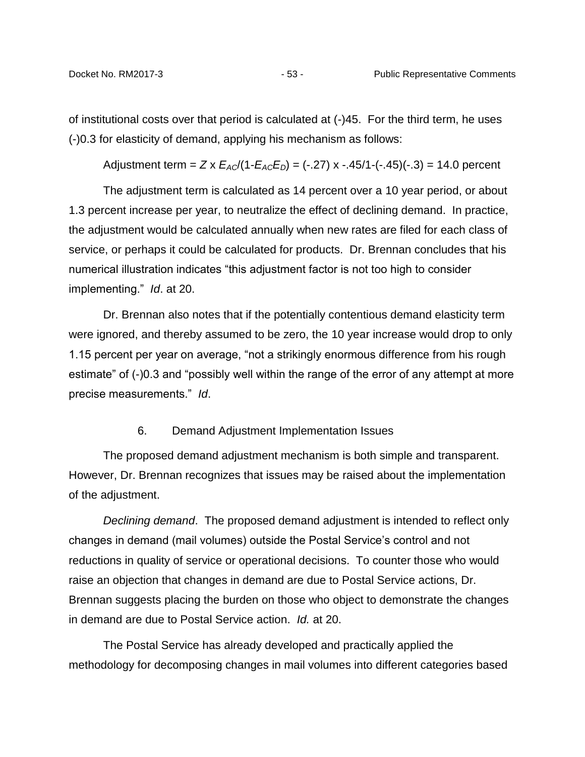of institutional costs over that period is calculated at (-)45. For the third term, he uses (-)0.3 for elasticity of demand, applying his mechanism as follows:

Adjustment term =  $Z \times E_{AC}/(1-E_{AC}E_{D}) = (-.27) \times -.45/1-(-.45)(-.3) = 14.0$  percent

The adjustment term is calculated as 14 percent over a 10 year period, or about 1.3 percent increase per year, to neutralize the effect of declining demand. In practice, the adjustment would be calculated annually when new rates are filed for each class of service, or perhaps it could be calculated for products. Dr. Brennan concludes that his numerical illustration indicates "this adjustment factor is not too high to consider implementing." *Id*. at 20.

Dr. Brennan also notes that if the potentially contentious demand elasticity term were ignored, and thereby assumed to be zero, the 10 year increase would drop to only 1.15 percent per year on average, "not a strikingly enormous difference from his rough estimate" of (-)0.3 and "possibly well within the range of the error of any attempt at more precise measurements." *Id*.

#### 6. Demand Adjustment Implementation Issues

<span id="page-55-0"></span>The proposed demand adjustment mechanism is both simple and transparent. However, Dr. Brennan recognizes that issues may be raised about the implementation of the adjustment.

*Declining demand*. The proposed demand adjustment is intended to reflect only changes in demand (mail volumes) outside the Postal Service's control and not reductions in quality of service or operational decisions. To counter those who would raise an objection that changes in demand are due to Postal Service actions, Dr. Brennan suggests placing the burden on those who object to demonstrate the changes in demand are due to Postal Service action. *Id.* at 20.

The Postal Service has already developed and practically applied the methodology for decomposing changes in mail volumes into different categories based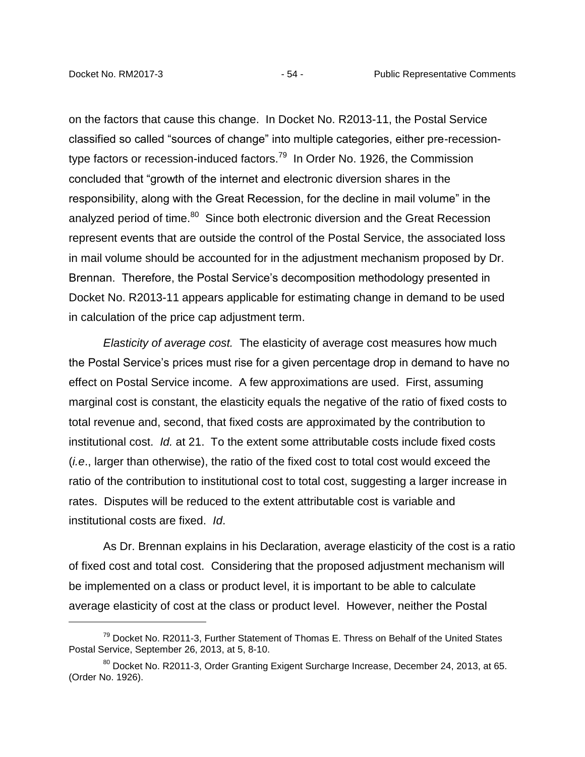on the factors that cause this change. In Docket No. R2013-11, the Postal Service classified so called "sources of change" into multiple categories, either pre-recessiontype factors or recession-induced factors.<sup>79</sup> In Order No. 1926, the Commission concluded that "growth of the internet and electronic diversion shares in the responsibility, along with the Great Recession, for the decline in mail volume" in the analyzed period of time.<sup>80</sup> Since both electronic diversion and the Great Recession represent events that are outside the control of the Postal Service, the associated loss in mail volume should be accounted for in the adjustment mechanism proposed by Dr. Brennan. Therefore, the Postal Service's decomposition methodology presented in Docket No. R2013-11 appears applicable for estimating change in demand to be used in calculation of the price cap adjustment term.

*Elasticity of average cost.* The elasticity of average cost measures how much the Postal Service's prices must rise for a given percentage drop in demand to have no effect on Postal Service income. A few approximations are used. First, assuming marginal cost is constant, the elasticity equals the negative of the ratio of fixed costs to total revenue and, second, that fixed costs are approximated by the contribution to institutional cost. *Id.* at 21. To the extent some attributable costs include fixed costs (*i.e*., larger than otherwise), the ratio of the fixed cost to total cost would exceed the ratio of the contribution to institutional cost to total cost, suggesting a larger increase in rates. Disputes will be reduced to the extent attributable cost is variable and institutional costs are fixed. *Id*.

As Dr. Brennan explains in his Declaration, average elasticity of the cost is a ratio of fixed cost and total cost. Considering that the proposed adjustment mechanism will be implemented on a class or product level, it is important to be able to calculate average elasticity of cost at the class or product level. However, neither the Postal

<sup>&</sup>lt;sup>79</sup> Docket No. R2011-3. Further Statement of Thomas E. Thress on Behalf of the United States Postal Service, September 26, 2013, at 5, 8-10.

<sup>&</sup>lt;sup>80</sup> Docket No. R2011-3, Order Granting Exigent Surcharge Increase, December 24, 2013, at 65. (Order No. 1926).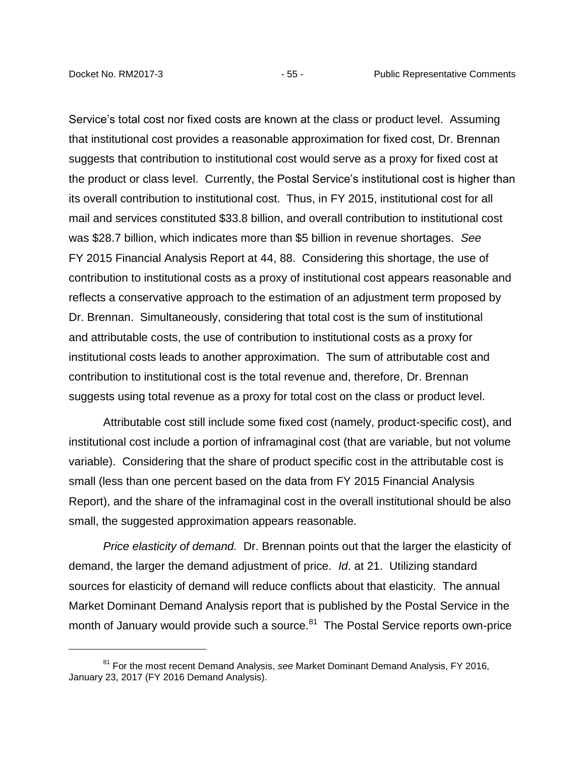Service's total cost nor fixed costs are known at the class or product level. Assuming that institutional cost provides a reasonable approximation for fixed cost, Dr. Brennan suggests that contribution to institutional cost would serve as a proxy for fixed cost at the product or class level. Currently, the Postal Service's institutional cost is higher than its overall contribution to institutional cost. Thus, in FY 2015, institutional cost for all mail and services constituted \$33.8 billion, and overall contribution to institutional cost was \$28.7 billion, which indicates more than \$5 billion in revenue shortages. *See* FY 2015 Financial Analysis Report at 44, 88. Considering this shortage, the use of contribution to institutional costs as a proxy of institutional cost appears reasonable and reflects a conservative approach to the estimation of an adjustment term proposed by Dr. Brennan. Simultaneously, considering that total cost is the sum of institutional and attributable costs, the use of contribution to institutional costs as a proxy for institutional costs leads to another approximation. The sum of attributable cost and contribution to institutional cost is the total revenue and, therefore, Dr. Brennan suggests using total revenue as a proxy for total cost on the class or product level.

Attributable cost still include some fixed cost (namely, product-specific cost), and institutional cost include a portion of inframaginal cost (that are variable, but not volume variable). Considering that the share of product specific cost in the attributable cost is small (less than one percent based on the data from FY 2015 Financial Analysis Report), and the share of the inframaginal cost in the overall institutional should be also small, the suggested approximation appears reasonable.

*Price elasticity of demand.* Dr. Brennan points out that the larger the elasticity of demand, the larger the demand adjustment of price. *Id*. at 21. Utilizing standard sources for elasticity of demand will reduce conflicts about that elasticity. The annual Market Dominant Demand Analysis report that is published by the Postal Service in the month of January would provide such a source.<sup>81</sup> The Postal Service reports own-price

<sup>81</sup> For the most recent Demand Analysis, *see* Market Dominant Demand Analysis, FY 2016, January 23, 2017 (FY 2016 Demand Analysis).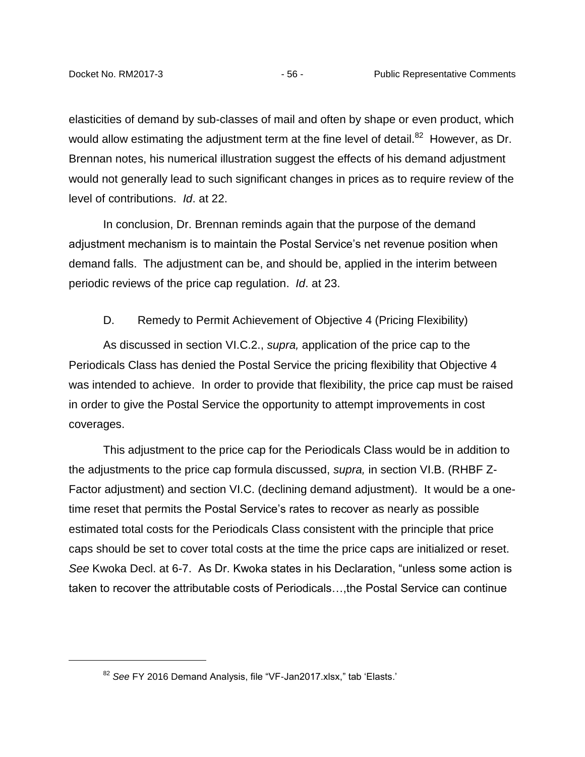elasticities of demand by sub-classes of mail and often by shape or even product, which would allow estimating the adjustment term at the fine level of detail.<sup>82</sup> However, as Dr. Brennan notes, his numerical illustration suggest the effects of his demand adjustment would not generally lead to such significant changes in prices as to require review of the level of contributions. *Id*. at 22.

In conclusion, Dr. Brennan reminds again that the purpose of the demand adjustment mechanism is to maintain the Postal Service's net revenue position when demand falls. The adjustment can be, and should be, applied in the interim between periodic reviews of the price cap regulation. *Id*. at 23.

#### D. Remedy to Permit Achievement of Objective 4 (Pricing Flexibility)

<span id="page-58-0"></span>As discussed in section VI.C.2., *supra,* application of the price cap to the Periodicals Class has denied the Postal Service the pricing flexibility that Objective 4 was intended to achieve. In order to provide that flexibility, the price cap must be raised in order to give the Postal Service the opportunity to attempt improvements in cost coverages.

This adjustment to the price cap for the Periodicals Class would be in addition to the adjustments to the price cap formula discussed, *supra,* in section VI.B. (RHBF Z-Factor adjustment) and section VI.C. (declining demand adjustment). It would be a onetime reset that permits the Postal Service's rates to recover as nearly as possible estimated total costs for the Periodicals Class consistent with the principle that price caps should be set to cover total costs at the time the price caps are initialized or reset. *See* Kwoka Decl. at 6-7. As Dr. Kwoka states in his Declaration, "unless some action is taken to recover the attributable costs of Periodicals…,the Postal Service can continue

<sup>82</sup> *See* FY 2016 Demand Analysis, file "VF-Jan2017.xlsx," tab 'Elasts.'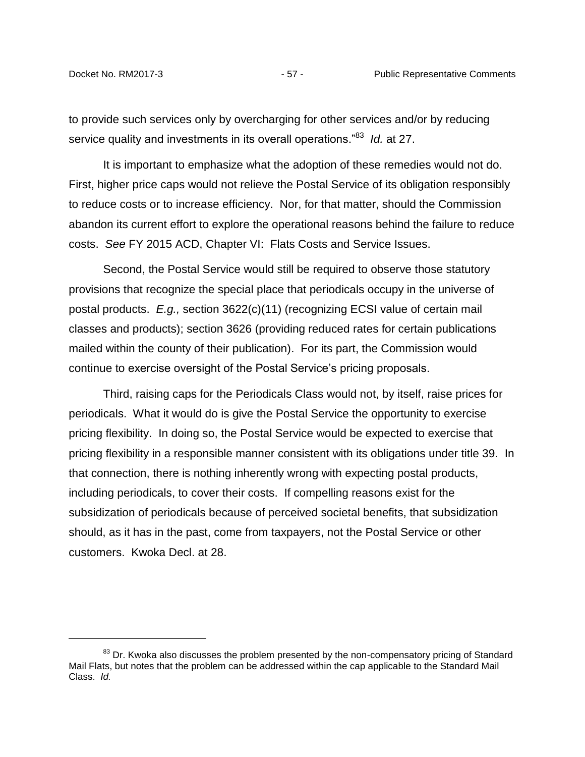to provide such services only by overcharging for other services and/or by reducing service quality and investments in its overall operations."<sup>83</sup> *Id.* at 27.

It is important to emphasize what the adoption of these remedies would not do. First, higher price caps would not relieve the Postal Service of its obligation responsibly to reduce costs or to increase efficiency. Nor, for that matter, should the Commission abandon its current effort to explore the operational reasons behind the failure to reduce costs. *See* FY 2015 ACD, Chapter VI: Flats Costs and Service Issues.

Second, the Postal Service would still be required to observe those statutory provisions that recognize the special place that periodicals occupy in the universe of postal products. *E.g.,* section 3622(c)(11) (recognizing ECSI value of certain mail classes and products); section 3626 (providing reduced rates for certain publications mailed within the county of their publication). For its part, the Commission would continue to exercise oversight of the Postal Service's pricing proposals.

Third, raising caps for the Periodicals Class would not, by itself, raise prices for periodicals. What it would do is give the Postal Service the opportunity to exercise pricing flexibility. In doing so, the Postal Service would be expected to exercise that pricing flexibility in a responsible manner consistent with its obligations under title 39. In that connection, there is nothing inherently wrong with expecting postal products, including periodicals, to cover their costs. If compelling reasons exist for the subsidization of periodicals because of perceived societal benefits, that subsidization should, as it has in the past, come from taxpayers, not the Postal Service or other customers. Kwoka Decl. at 28.

<sup>&</sup>lt;sup>83</sup> Dr. Kwoka also discusses the problem presented by the non-compensatory pricing of Standard Mail Flats, but notes that the problem can be addressed within the cap applicable to the Standard Mail Class. *Id.*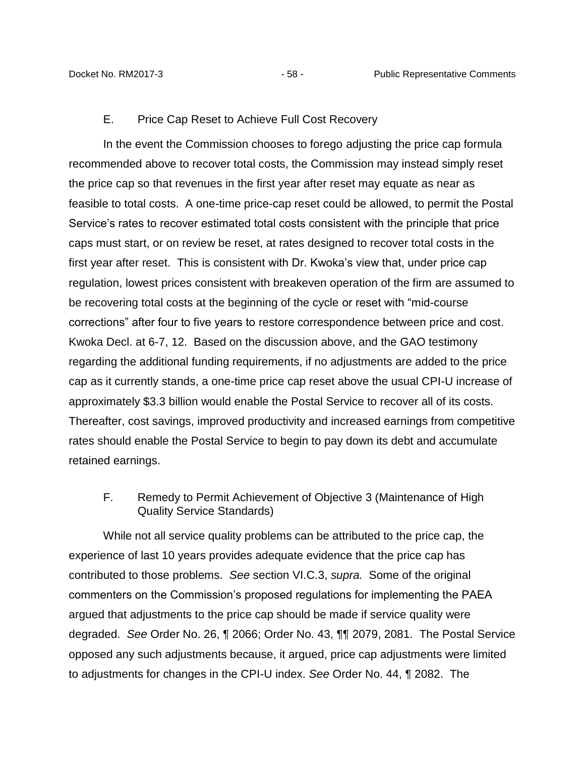#### E. Price Cap Reset to Achieve Full Cost Recovery

<span id="page-60-0"></span>In the event the Commission chooses to forego adjusting the price cap formula recommended above to recover total costs, the Commission may instead simply reset the price cap so that revenues in the first year after reset may equate as near as feasible to total costs. A one-time price-cap reset could be allowed, to permit the Postal Service's rates to recover estimated total costs consistent with the principle that price caps must start, or on review be reset, at rates designed to recover total costs in the first year after reset. This is consistent with Dr. Kwoka's view that, under price cap regulation, lowest prices consistent with breakeven operation of the firm are assumed to be recovering total costs at the beginning of the cycle or reset with "mid-course corrections" after four to five years to restore correspondence between price and cost. Kwoka Decl. at 6-7, 12. Based on the discussion above, and the GAO testimony regarding the additional funding requirements, if no adjustments are added to the price cap as it currently stands, a one-time price cap reset above the usual CPI-U increase of approximately \$3.3 billion would enable the Postal Service to recover all of its costs. Thereafter, cost savings, improved productivity and increased earnings from competitive rates should enable the Postal Service to begin to pay down its debt and accumulate retained earnings.

### <span id="page-60-1"></span>F. Remedy to Permit Achievement of Objective 3 (Maintenance of High Quality Service Standards)

While not all service quality problems can be attributed to the price cap, the experience of last 10 years provides adequate evidence that the price cap has contributed to those problems. *See* section VI.C.3, *supra.* Some of the original commenters on the Commission's proposed regulations for implementing the PAEA argued that adjustments to the price cap should be made if service quality were degraded. *See* Order No. 26, ¶ 2066; Order No. 43, ¶¶ 2079, 2081. The Postal Service opposed any such adjustments because, it argued, price cap adjustments were limited to adjustments for changes in the CPI-U index. *See* Order No. 44, ¶ 2082. The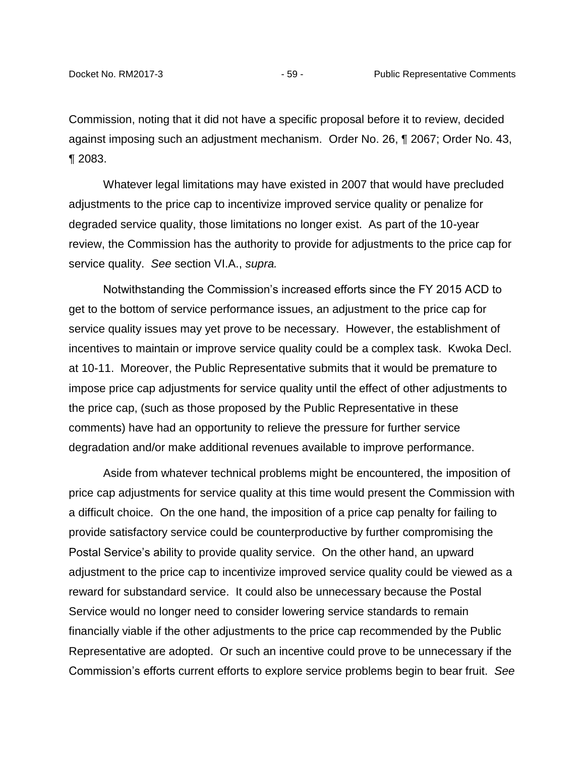Commission, noting that it did not have a specific proposal before it to review, decided against imposing such an adjustment mechanism. Order No. 26, ¶ 2067; Order No. 43, ¶ 2083.

Whatever legal limitations may have existed in 2007 that would have precluded adjustments to the price cap to incentivize improved service quality or penalize for degraded service quality, those limitations no longer exist. As part of the 10-year review, the Commission has the authority to provide for adjustments to the price cap for service quality. *See* section VI.A., *supra.*

Notwithstanding the Commission's increased efforts since the FY 2015 ACD to get to the bottom of service performance issues, an adjustment to the price cap for service quality issues may yet prove to be necessary. However, the establishment of incentives to maintain or improve service quality could be a complex task. Kwoka Decl. at 10-11. Moreover, the Public Representative submits that it would be premature to impose price cap adjustments for service quality until the effect of other adjustments to the price cap, (such as those proposed by the Public Representative in these comments) have had an opportunity to relieve the pressure for further service degradation and/or make additional revenues available to improve performance.

Aside from whatever technical problems might be encountered, the imposition of price cap adjustments for service quality at this time would present the Commission with a difficult choice. On the one hand, the imposition of a price cap penalty for failing to provide satisfactory service could be counterproductive by further compromising the Postal Service's ability to provide quality service. On the other hand, an upward adjustment to the price cap to incentivize improved service quality could be viewed as a reward for substandard service. It could also be unnecessary because the Postal Service would no longer need to consider lowering service standards to remain financially viable if the other adjustments to the price cap recommended by the Public Representative are adopted. Or such an incentive could prove to be unnecessary if the Commission's efforts current efforts to explore service problems begin to bear fruit. *See*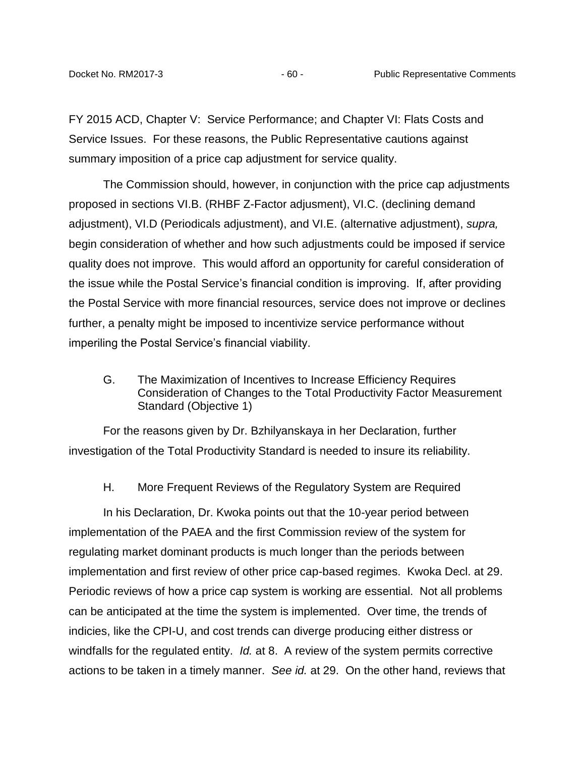FY 2015 ACD, Chapter V: Service Performance; and Chapter VI: Flats Costs and Service Issues. For these reasons, the Public Representative cautions against summary imposition of a price cap adjustment for service quality.

The Commission should, however, in conjunction with the price cap adjustments proposed in sections VI.B. (RHBF Z-Factor adjusment), VI.C. (declining demand adjustment), VI.D (Periodicals adjustment), and VI.E. (alternative adjustment), *supra,* begin consideration of whether and how such adjustments could be imposed if service quality does not improve. This would afford an opportunity for careful consideration of the issue while the Postal Service's financial condition is improving. If, after providing the Postal Service with more financial resources, service does not improve or declines further, a penalty might be imposed to incentivize service performance without imperiling the Postal Service's financial viability.

<span id="page-62-0"></span>G. The Maximization of Incentives to Increase Efficiency Requires Consideration of Changes to the Total Productivity Factor Measurement Standard (Objective 1)

<span id="page-62-1"></span>For the reasons given by Dr. Bzhilyanskaya in her Declaration, further investigation of the Total Productivity Standard is needed to insure its reliability.

H. More Frequent Reviews of the Regulatory System are Required

In his Declaration, Dr. Kwoka points out that the 10-year period between implementation of the PAEA and the first Commission review of the system for regulating market dominant products is much longer than the periods between implementation and first review of other price cap-based regimes. Kwoka Decl. at 29. Periodic reviews of how a price cap system is working are essential. Not all problems can be anticipated at the time the system is implemented. Over time, the trends of indicies, like the CPI-U, and cost trends can diverge producing either distress or windfalls for the regulated entity. *Id.* at 8. A review of the system permits corrective actions to be taken in a timely manner. *See id.* at 29. On the other hand, reviews that